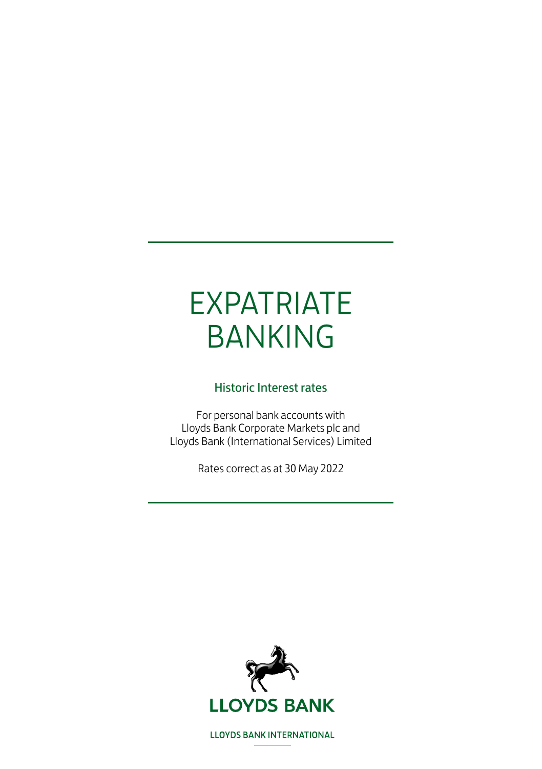# EXPATRIATE BANKING

#### Historic Interest rates

For personal bank accounts with Lloyds Bank Corporate Markets plc and Lloyds Bank (International Services) Limited

Rates correct as at 30 May 2022



**LLOYDS BANK INTERNATIONAL**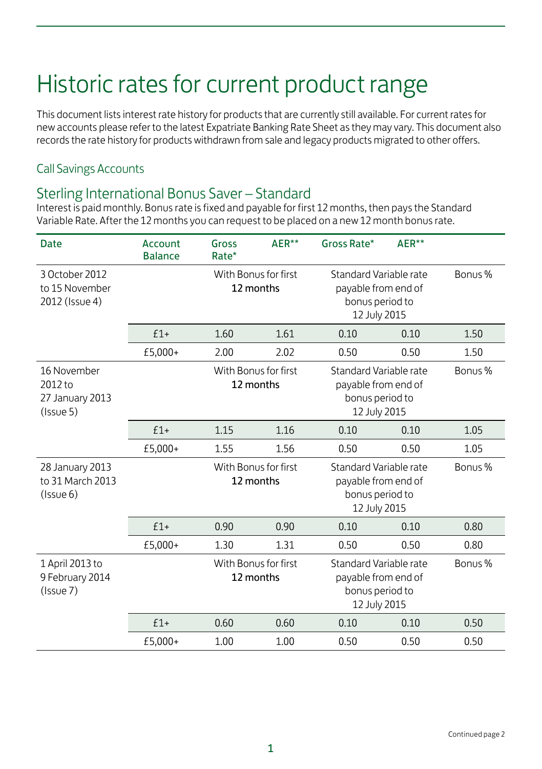# Historic rates for current product range

This document lists interest rate history for products that are currently still available. For current rates for new accounts please refer to the latest Expatriate Banking Rate Sheet as they may vary. This document also records the rate history for products withdrawn from sale and legacy products migrated to other offers.

#### Call Savings Accounts

#### Sterling International Bonus Saver – Standard

Interest is paid monthly. Bonus rate is fixed and payable for first 12 months, then pays the Standard Variable Rate. After the 12 months you can request to be placed on a new 12 month bonus rate.

| <b>Date</b>                                                        | Account<br><b>Balance</b> | Gross<br>Rate* | AER**                             | Gross Rate*                                                                      | AER**                                                                                       |         |
|--------------------------------------------------------------------|---------------------------|----------------|-----------------------------------|----------------------------------------------------------------------------------|---------------------------------------------------------------------------------------------|---------|
| 3 October 2012<br>to 15 November<br>2012 (Issue 4)                 |                           |                | With Bonus for first<br>12 months |                                                                                  | Standard Variable rate<br>payable from end of<br>bonus period to<br>12 July 2015            | Bonus % |
|                                                                    | $f1+$                     | 1.60           | 1.61                              | 0.10                                                                             | 0.10                                                                                        | 1.50    |
|                                                                    | £5,000+                   | 2.00           | 2.02                              | 0.50                                                                             | 0.50                                                                                        | 1.50    |
| 16 November<br>2012 to<br>27 January 2013<br>(Issue <sub>5</sub> ) |                           |                | With Bonus for first<br>12 months |                                                                                  | Standard Variable rate<br>Bonus %<br>payable from end of<br>bonus period to<br>12 July 2015 |         |
|                                                                    | $f1+$                     | 1.15           | 1.16                              | 0.10                                                                             | 0.10                                                                                        | 1.05    |
|                                                                    | £5,000+                   | 1.55           | 1.56                              | 0.50                                                                             | 0.50                                                                                        | 1.05    |
| 28 January 2013<br>to 31 March 2013<br>$($ Issue 6)                |                           |                | With Bonus for first<br>12 months | Standard Variable rate<br>payable from end of<br>bonus period to<br>12 July 2015 |                                                                                             | Bonus % |
|                                                                    | $£1+$                     | 0.90           | 0.90                              | 0.10                                                                             | 0.10                                                                                        | 0.80    |
|                                                                    | £5,000+                   | 1.30           | 1.31                              | 0.50                                                                             | 0.50                                                                                        | 0.80    |
| 1 April 2013 to<br>9 February 2014<br>(Issue 7)                    |                           |                | With Bonus for first<br>12 months | Standard Variable rate<br>payable from end of<br>bonus period to<br>12 July 2015 |                                                                                             | Bonus % |
|                                                                    | $£1+$                     | 0.60           | 0.60                              | 0.10                                                                             | 0.10                                                                                        | 0.50    |
|                                                                    | £5,000+                   | 1.00           | 1.00                              | 0.50                                                                             | 0.50                                                                                        | 0.50    |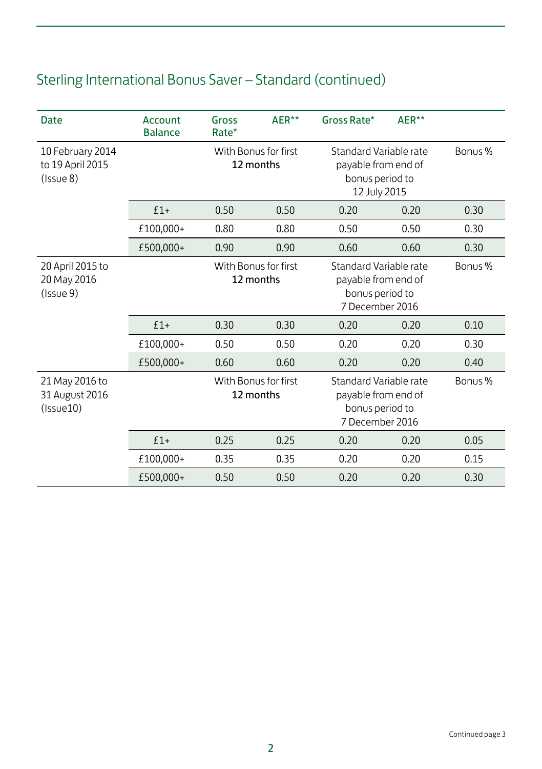| Date                                             | Account<br><b>Balance</b> | Gross<br>Rate*                    | AER**                             | Gross Rate*                                                                         | AER** |         |
|--------------------------------------------------|---------------------------|-----------------------------------|-----------------------------------|-------------------------------------------------------------------------------------|-------|---------|
| 10 February 2014<br>to 19 April 2015<br>(Issue8) |                           | With Bonus for first<br>12 months |                                   | Standard Variable rate<br>payable from end of<br>bonus period to<br>12 July 2015    |       | Bonus % |
|                                                  | $£1+$                     | 0.50                              | 0.50                              | 0.20                                                                                | 0.20  | 0.30    |
|                                                  | £100,000+                 | 0.80                              | 0.80                              | 0.50                                                                                | 0.50  | 0.30    |
|                                                  | £500,000+                 | 0.90                              | 0.90                              | 0.60                                                                                | 0.60  | 0.30    |
| 20 April 2015 to<br>20 May 2016<br>(Issue 9)     |                           | With Bonus for first<br>12 months |                                   | Standard Variable rate<br>payable from end of<br>bonus period to<br>7 December 2016 |       | Bonus % |
|                                                  | $£1+$                     | 0.30                              | 0.30                              | 0.20                                                                                | 0.20  | 0.10    |
|                                                  | £100,000+                 | 0.50                              | 0.50                              | 0.20                                                                                | 0.20  | 0.30    |
|                                                  | £500,000+                 | 0.60                              | 0.60                              | 0.20                                                                                | 0.20  | 0.40    |
| 21 May 2016 to<br>31 August 2016<br>(Issue10)    |                           |                                   | With Bonus for first<br>12 months | Standard Variable rate<br>payable from end of<br>bonus period to<br>7 December 2016 |       | Bonus % |
|                                                  | $£1+$                     | 0.25                              | 0.25                              | 0.20                                                                                | 0.20  | 0.05    |
|                                                  | £100,000+                 | 0.35                              | 0.35                              | 0.20                                                                                | 0.20  | 0.15    |
|                                                  | £500,000+                 | 0.50                              | 0.50                              | 0.20                                                                                | 0.20  | 0.30    |

## Sterling International Bonus Saver – Standard (continued)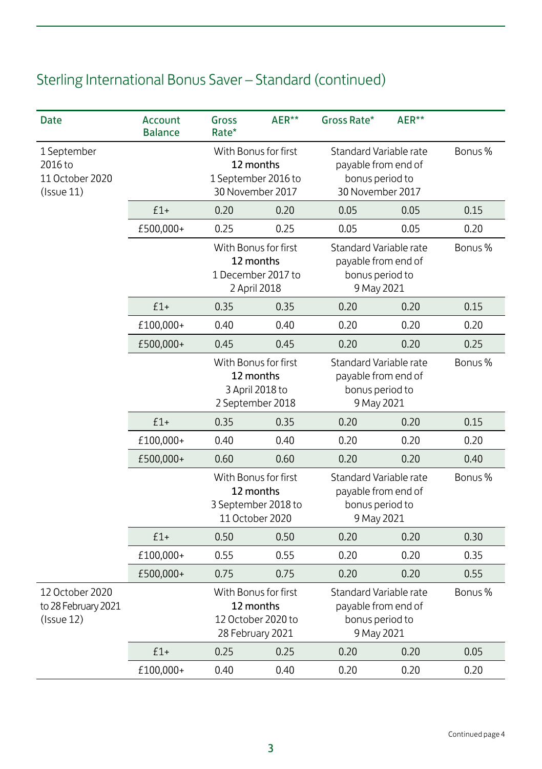| <b>Date</b>                                             | Account<br><b>Balance</b> | Gross<br>Rate*                                                               | AER**                                                                       | Gross Rate*                                                                    | AER**                                                                                |         |
|---------------------------------------------------------|---------------------------|------------------------------------------------------------------------------|-----------------------------------------------------------------------------|--------------------------------------------------------------------------------|--------------------------------------------------------------------------------------|---------|
| 1 September<br>2016 to<br>11 October 2020<br>(Issue 11) |                           | With Bonus for first<br>12 months<br>1 September 2016 to<br>30 November 2017 |                                                                             |                                                                                | Standard Variable rate<br>payable from end of<br>bonus period to<br>30 November 2017 |         |
|                                                         | $£1+$                     | 0.20                                                                         | 0.20                                                                        | 0.05                                                                           | 0.05                                                                                 | 0.15    |
|                                                         | £500,000+                 | 0.25                                                                         | 0.25                                                                        | 0.05                                                                           | 0.05                                                                                 | 0.20    |
|                                                         |                           |                                                                              | With Bonus for first<br>12 months<br>1 December 2017 to<br>2 April 2018     | Standard Variable rate<br>payable from end of<br>bonus period to<br>9 May 2021 |                                                                                      | Bonus % |
|                                                         | $£1+$                     | 0.35                                                                         | 0.35                                                                        | 0.20                                                                           | 0.20                                                                                 | 0.15    |
|                                                         | £100,000+                 | 0.40                                                                         | 0.40                                                                        | 0.20                                                                           | 0.20                                                                                 | 0.20    |
|                                                         | £500,000+                 | 0.45                                                                         | 0.45                                                                        | 0.20                                                                           | 0.20                                                                                 | 0.25    |
|                                                         |                           |                                                                              | With Bonus for first<br>12 months<br>3 April 2018 to<br>2 September 2018    | Standard Variable rate<br>payable from end of<br>bonus period to<br>9 May 2021 |                                                                                      | Bonus % |
|                                                         | $£1+$                     | 0.35                                                                         | 0.35                                                                        | 0.20                                                                           | 0.20                                                                                 | 0.15    |
|                                                         | £100,000+                 | 0.40                                                                         | 0.40                                                                        | 0.20                                                                           | 0.20                                                                                 | 0.20    |
|                                                         | £500,000+                 | 0.60                                                                         | 0.60                                                                        | 0.20                                                                           | 0.20                                                                                 | 0.40    |
|                                                         |                           |                                                                              | With Bonus for first<br>12 months<br>3 September 2018 to<br>11 October 2020 | Standard Variable rate<br>payable from end of<br>bonus period to<br>9 May 2021 |                                                                                      | Bonus % |
|                                                         | $£1+$                     | 0.50                                                                         | 0.50                                                                        | 0.20                                                                           | 0.20                                                                                 | 0.30    |
|                                                         | £100,000+                 | 0.55                                                                         | 0.55                                                                        | 0.20                                                                           | 0.20                                                                                 | 0.35    |
|                                                         | £500,000+                 | 0.75                                                                         | 0.75                                                                        | 0.20                                                                           | 0.20                                                                                 | 0.55    |
| 12 October 2020<br>to 28 February 2021<br>(Issue12)     |                           | With Bonus for first<br>12 months<br>12 October 2020 to<br>28 February 2021  |                                                                             | Standard Variable rate<br>payable from end of<br>bonus period to<br>9 May 2021 |                                                                                      | Bonus % |
|                                                         | $£1+$                     | 0.25                                                                         | 0.25                                                                        | 0.20                                                                           | 0.20                                                                                 | 0.05    |
|                                                         | £100,000+                 | 0.40                                                                         | 0.40                                                                        | 0.20                                                                           | 0.20                                                                                 | 0.20    |

## Sterling International Bonus Saver – Standard (continued)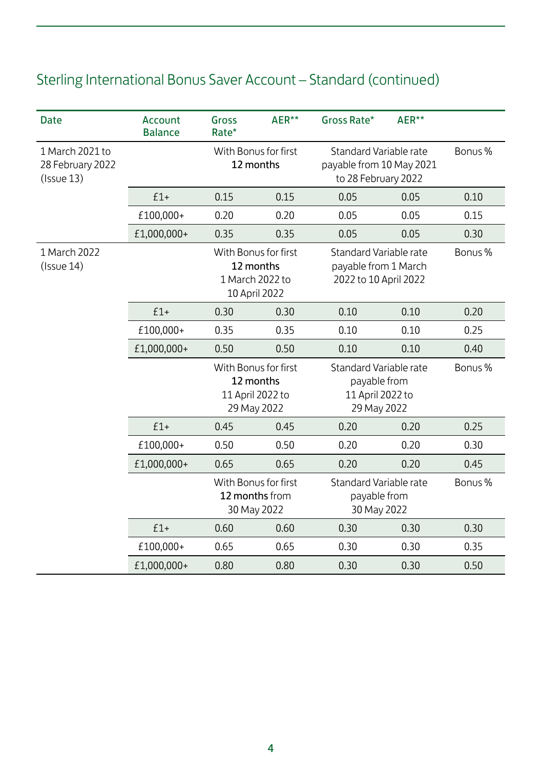## Sterling International Bonus Saver Account – Standard (continued)

| <b>Date</b>                                      | Account<br><b>Balance</b> | Gross<br>Rate* | AER**                                                                 | Gross Rate*                                                               | AER**                                                                     |         |
|--------------------------------------------------|---------------------------|----------------|-----------------------------------------------------------------------|---------------------------------------------------------------------------|---------------------------------------------------------------------------|---------|
| 1 March 2021 to<br>28 February 2022<br>(Issue13) |                           |                | With Bonus for first<br>12 months                                     |                                                                           | Standard Variable rate<br>payable from 10 May 2021<br>to 28 February 2022 | Bonus % |
|                                                  | $£1+$                     | 0.15           | 0.15                                                                  | 0.05                                                                      | 0.05                                                                      | 0.10    |
|                                                  | £100,000+                 | 0.20           | 0.20                                                                  | 0.05                                                                      | 0.05                                                                      | 0.15    |
|                                                  | £1,000,000+               | 0.35           | 0.35                                                                  | 0.05                                                                      | 0.05                                                                      | 0.30    |
| 1 March 2022<br>(Issue14)                        |                           |                | With Bonus for first<br>12 months<br>1 March 2022 to<br>10 April 2022 | Standard Variable rate<br>payable from 1 March<br>2022 to 10 April 2022   |                                                                           | Bonus % |
|                                                  | $£1+$                     | 0.30           | 0.30                                                                  | 0.10                                                                      | 0.10                                                                      | 0.20    |
|                                                  | £100,000+                 | 0.35           | 0.35                                                                  | 0.10                                                                      | 0.10                                                                      | 0.25    |
|                                                  | £1,000,000+               | 0.50           | 0.50                                                                  | 0.10                                                                      | 0.10                                                                      | 0.40    |
|                                                  |                           |                | With Bonus for first<br>12 months<br>11 April 2022 to<br>29 May 2022  | Standard Variable rate<br>payable from<br>11 April 2022 to<br>29 May 2022 |                                                                           | Bonus % |
|                                                  | $£1+$                     | 0.45           | 0.45                                                                  | 0.20                                                                      | 0.20                                                                      | 0.25    |
|                                                  | £100,000+                 | 0.50           | 0.50                                                                  | 0.20                                                                      | 0.20                                                                      | 0.30    |
|                                                  | £1,000,000+               | 0.65           | 0.65                                                                  | 0.20                                                                      | 0.20                                                                      | 0.45    |
|                                                  |                           |                | With Bonus for first<br>12 months from<br>30 May 2022                 | Standard Variable rate<br>payable from<br>30 May 2022                     |                                                                           | Bonus % |
|                                                  | $£1+$                     | 0.60           | 0.60                                                                  | 0.30                                                                      | 0.30                                                                      | 0.30    |
|                                                  | £100,000+                 | 0.65           | 0.65                                                                  | 0.30                                                                      | 0.30                                                                      | 0.35    |
|                                                  | £1,000,000+               | 0.80           | 0.80                                                                  | 0.30                                                                      | 0.30                                                                      | 0.50    |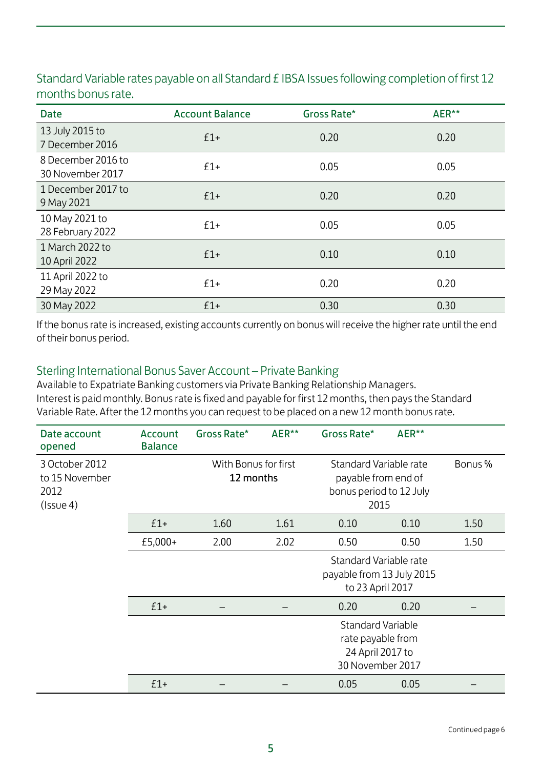| <b>Date</b>                            | <b>Account Balance</b> | Gross Rate* | AER** |
|----------------------------------------|------------------------|-------------|-------|
| 13 July 2015 to<br>7 December 2016     | $£1+$                  | 0.20        | 0.20  |
| 8 December 2016 to<br>30 November 2017 | $f1+$                  | 0.05        | 0.05  |
| 1 December 2017 to<br>9 May 2021       | $£1+$                  | 0.20        | 0.20  |
| 10 May 2021 to<br>28 February 2022     | $f1+$                  | 0.05        | 0.05  |
| 1 March 2022 to<br>10 April 2022       | $f1+$                  | 0.10        | 0.10  |
| 11 April 2022 to<br>29 May 2022        | $f1+$                  | 0.20        | 0.20  |
| 30 May 2022                            | $£1+$                  | 0.30        | 0.30  |

Standard Variable rates payable on all Standard £ IBSA Issues following completion of first 12 months bonus rate.

If the bonus rate is increased, existing accounts currently on bonus will receive the higher rate until the end of their bonus period.

#### Sterling International Bonus Saver Account – Private Banking

Available to Expatriate Banking customers via Private Banking Relationship Managers. Interest is paid monthly. Bonus rate is fixed and payable for first 12 months, then pays the Standard Variable Rate. After the 12 months you can request to be placed on a new 12 month bonus rate.

| Date account<br>opened                                      | Account<br><b>Balance</b> | Gross Rate*                       | AER** | Gross Rate*                                                                      | AER** |         |
|-------------------------------------------------------------|---------------------------|-----------------------------------|-------|----------------------------------------------------------------------------------|-------|---------|
| 3 October 2012<br>to 15 November<br>2012<br>$($ Issue 4 $)$ |                           | With Bonus for first<br>12 months |       | Standard Variable rate<br>payable from end of<br>bonus period to 12 July<br>2015 |       | Bonus % |
|                                                             | $£1+$                     | 1.60                              | 1.61  | 0.10                                                                             | 0.10  | 1.50    |
|                                                             | £5,000+                   | 2.00                              | 2.02  | 0.50                                                                             | 0.50  | 1.50    |
|                                                             |                           |                                   |       | Standard Variable rate<br>payable from 13 July 2015<br>to 23 April 2017          |       |         |
|                                                             | $£1+$                     |                                   |       | 0.20                                                                             | 0.20  |         |
|                                                             |                           |                                   |       | Standard Variable<br>rate payable from<br>24 April 2017 to<br>30 November 2017   |       |         |
|                                                             | $f1+$                     |                                   |       | 0.05                                                                             | 0.05  |         |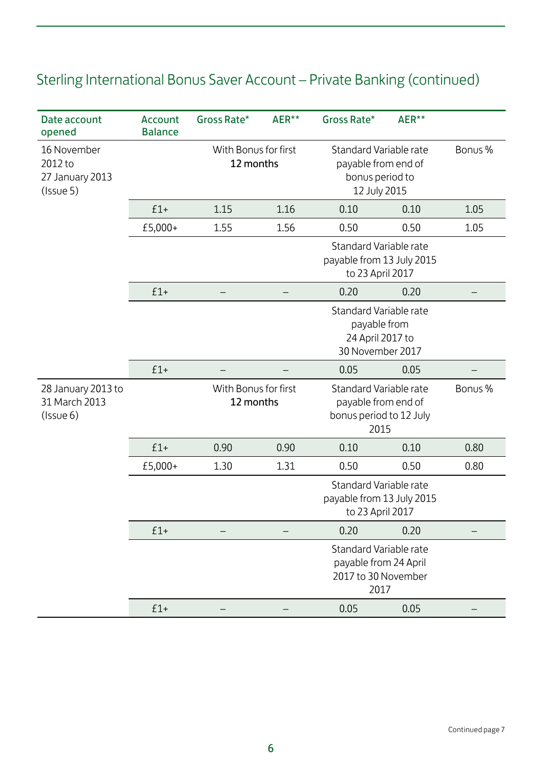| Date account<br>opened                                 | Account<br><b>Balance</b> | Gross Rate*                       | AER** | Gross Rate*                                                                      | AER** |         |
|--------------------------------------------------------|---------------------------|-----------------------------------|-------|----------------------------------------------------------------------------------|-------|---------|
| 16 November<br>2012 to<br>27 January 2013<br>(Issue 5) |                           | With Bonus for first<br>12 months |       | Standard Variable rate<br>payable from end of<br>bonus period to<br>12 July 2015 |       | Bonus % |
|                                                        | $£1+$                     | 1.15                              | 1.16  | 0.10                                                                             | 0.10  | 1.05    |
|                                                        | £5,000+                   | 1.55                              | 1.56  | 0.50                                                                             | 0.50  | 1.05    |
|                                                        |                           |                                   |       | Standard Variable rate<br>payable from 13 July 2015<br>to 23 April 2017          |       |         |
|                                                        | $£1+$                     |                                   |       | 0.20                                                                             | 0.20  |         |
|                                                        |                           |                                   |       | Standard Variable rate<br>payable from<br>24 April 2017 to<br>30 November 2017   |       |         |
|                                                        | $£1+$                     |                                   |       | 0.05                                                                             | 0.05  |         |
| 28 January 2013 to<br>31 March 2013<br>(Issue 6)       |                           | With Bonus for first<br>12 months |       | Standard Variable rate<br>payable from end of<br>bonus period to 12 July<br>2015 |       | Bonus % |
|                                                        | $£1+$                     | 0.90                              | 0.90  | 0.10                                                                             | 0.10  | 0.80    |
|                                                        | £5,000+                   | 1.30                              | 1.31  | 0.50                                                                             | 0.50  | 0.80    |
|                                                        |                           |                                   |       | Standard Variable rate<br>payable from 13 July 2015<br>to 23 April 2017          |       |         |
|                                                        | $£1+$                     |                                   |       | 0.20                                                                             | 0.20  |         |
|                                                        |                           |                                   |       | Standard Variable rate<br>payable from 24 April<br>2017 to 30 November<br>2017   |       |         |
|                                                        | $£1+$                     |                                   |       | 0.05                                                                             | 0.05  |         |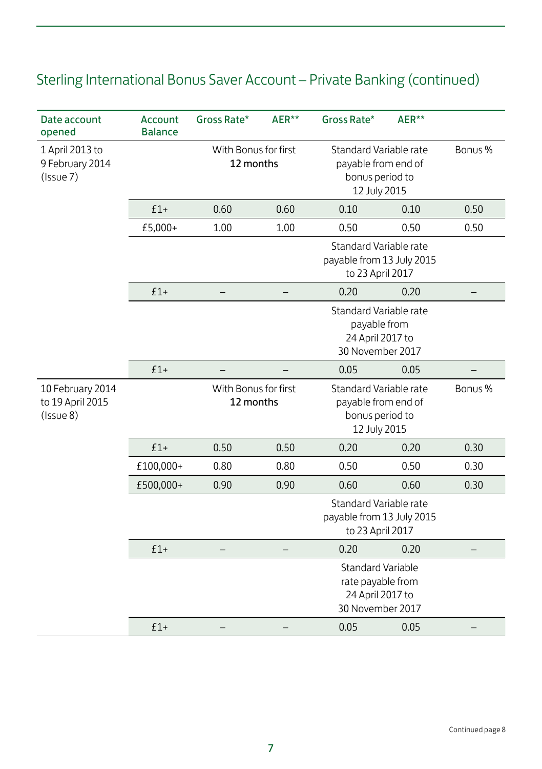| Date account<br>opened                                 | Account<br><b>Balance</b> | Gross Rate*                       | AER**                             | Gross Rate*                                                                           | AER**                                                                            |         |
|--------------------------------------------------------|---------------------------|-----------------------------------|-----------------------------------|---------------------------------------------------------------------------------------|----------------------------------------------------------------------------------|---------|
| 1 April 2013 to<br>9 February 2014<br>(Issue 7)        |                           |                                   | With Bonus for first<br>12 months |                                                                                       | Standard Variable rate<br>payable from end of<br>bonus period to<br>12 July 2015 | Bonus % |
|                                                        | $£1+$                     | 0.60                              | 0.60                              | 0.10                                                                                  | 0.10                                                                             | 0.50    |
|                                                        | £5,000+                   | 1.00                              | 1.00                              | 0.50                                                                                  | 0.50                                                                             | 0.50    |
|                                                        |                           |                                   |                                   | Standard Variable rate<br>payable from 13 July 2015<br>to 23 April 2017               |                                                                                  |         |
|                                                        | $£1+$                     |                                   |                                   | 0.20                                                                                  | 0.20                                                                             |         |
|                                                        |                           |                                   |                                   | Standard Variable rate<br>payable from<br>24 April 2017 to<br>30 November 2017        |                                                                                  |         |
|                                                        | $£1+$                     |                                   |                                   | 0.05                                                                                  | 0.05                                                                             |         |
| 10 February 2014<br>to 19 April 2015<br>$($ Issue $8)$ |                           | With Bonus for first<br>12 months |                                   | Standard Variable rate<br>payable from end of<br>bonus period to<br>12 July 2015      |                                                                                  | Bonus % |
|                                                        | $£1+$                     | 0.50                              | 0.50                              | 0.20                                                                                  | 0.20                                                                             | 0.30    |
|                                                        | £100,000+                 | 0.80                              | 0.80                              | 0.50                                                                                  | 0.50                                                                             | 0.30    |
|                                                        | £500,000+                 | 0.90                              | 0.90                              | 0.60                                                                                  | 0.60                                                                             | 0.30    |
|                                                        |                           |                                   |                                   | Standard Variable rate<br>payable from 13 July 2015<br>to 23 April 2017               |                                                                                  |         |
|                                                        | $£1+$                     |                                   |                                   | 0.20                                                                                  | 0.20                                                                             |         |
|                                                        |                           |                                   |                                   | <b>Standard Variable</b><br>rate payable from<br>24 April 2017 to<br>30 November 2017 |                                                                                  |         |
|                                                        | $£1+$                     |                                   |                                   | 0.05                                                                                  | 0.05                                                                             |         |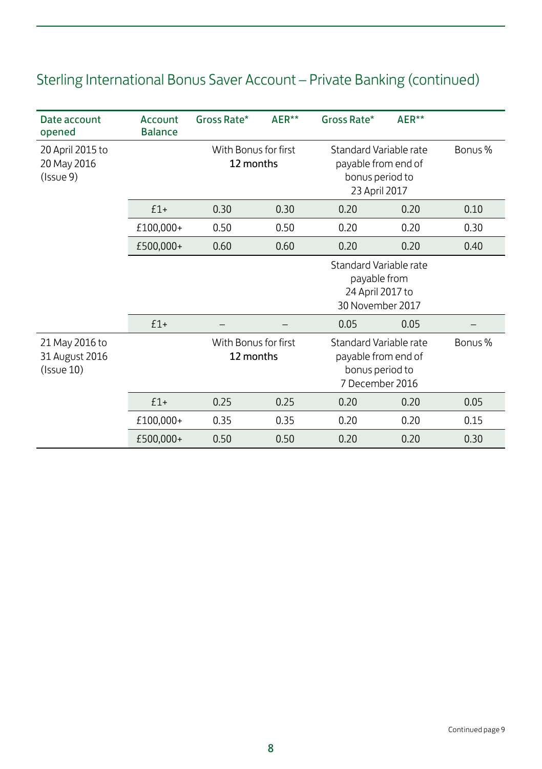| Date account<br>opened                        | Account<br><b>Balance</b> | Gross Rate*                       | AER** | Gross Rate*                                                                         | AER** |         |
|-----------------------------------------------|---------------------------|-----------------------------------|-------|-------------------------------------------------------------------------------------|-------|---------|
| 20 April 2015 to<br>20 May 2016<br>(Issue 9)  |                           | With Bonus for first<br>12 months |       | Standard Variable rate<br>payable from end of<br>bonus period to<br>23 April 2017   |       | Bonus % |
|                                               | $£1+$                     | 0.30                              | 0.30  | 0.20                                                                                | 0.20  | 0.10    |
|                                               | £100,000+                 | 0.50                              | 0.50  | 0.20                                                                                | 0.20  | 0.30    |
|                                               | £500,000+                 | 0.60                              | 0.60  | 0.20                                                                                | 0.20  | 0.40    |
|                                               |                           |                                   |       | Standard Variable rate<br>payable from<br>24 April 2017 to<br>30 November 2017      |       |         |
|                                               | $£1+$                     |                                   |       | 0.05                                                                                | 0.05  |         |
| 21 May 2016 to<br>31 August 2016<br>(Issue10) |                           | With Bonus for first<br>12 months |       | Standard Variable rate<br>payable from end of<br>bonus period to<br>7 December 2016 |       | Bonus % |
|                                               | $£1+$                     | 0.25                              | 0.25  | 0.20                                                                                | 0.20  | 0.05    |
|                                               | £100,000+                 | 0.35                              | 0.35  | 0.20                                                                                | 0.20  | 0.15    |
|                                               | £500,000+                 | 0.50                              | 0.50  | 0.20                                                                                | 0.20  | 0.30    |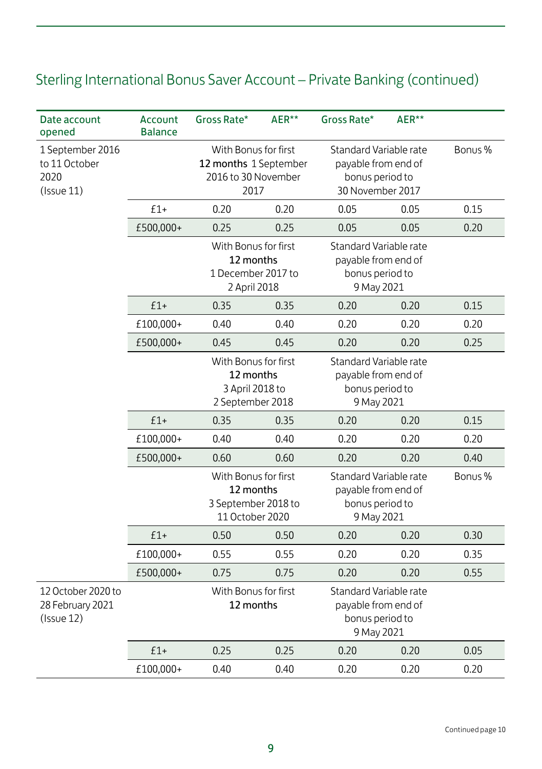| Date account<br>opened                                        | Account<br><b>Balance</b> | Gross Rate*                                                                 | AER**                                                                        | Gross Rate*                                                                    | AER**                                                                                |         |
|---------------------------------------------------------------|---------------------------|-----------------------------------------------------------------------------|------------------------------------------------------------------------------|--------------------------------------------------------------------------------|--------------------------------------------------------------------------------------|---------|
| 1 September 2016<br>to 11 October<br>2020<br>$($ Issue 11 $)$ |                           |                                                                             | With Bonus for first<br>12 months 1 September<br>2016 to 30 November<br>2017 |                                                                                | Standard Variable rate<br>payable from end of<br>bonus period to<br>30 November 2017 | Bonus % |
|                                                               | $£1+$                     | 0.20                                                                        | 0.20                                                                         | 0.05                                                                           | 0.05                                                                                 | 0.15    |
|                                                               | £500,000+                 | 0.25                                                                        | 0.25                                                                         | 0.05                                                                           | 0.05                                                                                 | 0.20    |
|                                                               |                           | With Bonus for first<br>12 months<br>1 December 2017 to<br>2 April 2018     |                                                                              | Standard Variable rate<br>payable from end of<br>bonus period to<br>9 May 2021 |                                                                                      |         |
|                                                               | $f1+$                     | 0.35                                                                        | 0.35                                                                         | 0.20                                                                           | 0.20                                                                                 | 0.15    |
|                                                               | £100,000+                 | 0.40                                                                        | 0.40                                                                         | 0.20                                                                           | 0.20                                                                                 | 0.20    |
|                                                               | £500,000+                 | 0.45                                                                        | 0.45                                                                         | 0.20                                                                           | 0.20                                                                                 | 0.25    |
|                                                               |                           | With Bonus for first<br>12 months<br>3 April 2018 to<br>2 September 2018    |                                                                              | Standard Variable rate<br>payable from end of<br>bonus period to<br>9 May 2021 |                                                                                      |         |
|                                                               | $f1+$                     | 0.35                                                                        | 0.35                                                                         | 0.20                                                                           | 0.20                                                                                 | 0.15    |
|                                                               | £100,000+                 | 0.40                                                                        | 0.40                                                                         | 0.20                                                                           | 0.20                                                                                 | 0.20    |
|                                                               | £500,000+                 | 0.60                                                                        | 0.60                                                                         | 0.20                                                                           | 0.20                                                                                 | 0.40    |
|                                                               |                           | With Bonus for first<br>12 months<br>3 September 2018 to<br>11 October 2020 |                                                                              | Standard Variable rate<br>payable from end of<br>bonus period to<br>9 May 2021 |                                                                                      | Bonus % |
|                                                               | $£1+$                     | 0.50                                                                        | 0.50                                                                         | 0.20                                                                           | 0.20                                                                                 | 0.30    |
|                                                               | £100,000+                 | 0.55                                                                        | 0.55                                                                         | 0.20                                                                           | 0.20                                                                                 | 0.35    |
|                                                               | £500,000+                 | 0.75                                                                        | 0.75                                                                         | 0.20                                                                           | 0.20                                                                                 | 0.55    |
| 12 October 2020 to<br>28 February 2021<br>(Issue12)           |                           | With Bonus for first<br>12 months                                           |                                                                              | Standard Variable rate<br>payable from end of<br>bonus period to<br>9 May 2021 |                                                                                      |         |
|                                                               | $f1+$                     | 0.25                                                                        | 0.25                                                                         | 0.20                                                                           | 0.20                                                                                 | 0.05    |
|                                                               | £100,000+                 | 0.40                                                                        | 0.40                                                                         | 0.20                                                                           | 0.20                                                                                 | 0.20    |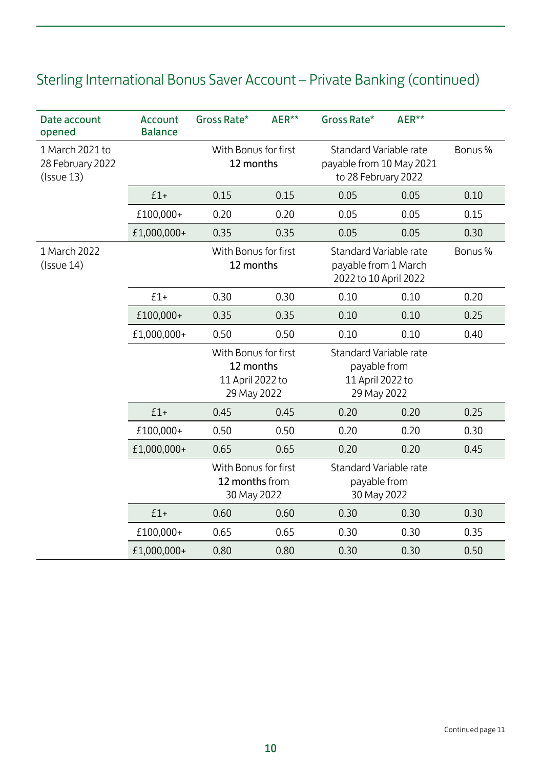| Date account<br>opened                           | Account<br><b>Balance</b> | Gross Rate*                                                          | AER**                                                                                                        | Gross Rate*                                                               | AER** |         |
|--------------------------------------------------|---------------------------|----------------------------------------------------------------------|--------------------------------------------------------------------------------------------------------------|---------------------------------------------------------------------------|-------|---------|
| 1 March 2021 to<br>28 February 2022<br>(Issue13) |                           | With Bonus for first<br>12 months                                    |                                                                                                              | Standard Variable rate<br>payable from 10 May 2021<br>to 28 February 2022 |       | Bonus % |
|                                                  | $£1+$                     | 0.15                                                                 | 0.15                                                                                                         | 0.05                                                                      | 0.05  | 0.10    |
|                                                  | £100,000+                 | 0.20                                                                 | 0.20                                                                                                         | 0.05                                                                      | 0.05  | 0.15    |
|                                                  | £1,000,000+               | 0.35                                                                 | 0.35                                                                                                         | 0.05                                                                      | 0.05  | 0.30    |
| 1 March 2022<br>(Issue14)                        |                           |                                                                      | With Bonus for first<br>Standard Variable rate<br>12 months<br>payable from 1 March<br>2022 to 10 April 2022 |                                                                           |       | Bonus % |
|                                                  | $£1+$                     | 0.30                                                                 | 0.30                                                                                                         | 0.10                                                                      | 0.10  | 0.20    |
|                                                  | £100,000+                 | 0.35                                                                 | 0.35                                                                                                         | 0.10                                                                      | 0.10  | 0.25    |
|                                                  | £1,000,000+               | 0.50                                                                 | 0.50                                                                                                         | 0.10                                                                      | 0.10  | 0.40    |
|                                                  |                           | With Bonus for first<br>12 months<br>11 April 2022 to<br>29 May 2022 |                                                                                                              | Standard Variable rate<br>payable from<br>11 April 2022 to<br>29 May 2022 |       |         |
|                                                  | $f1+$                     | 0.45                                                                 | 0.45                                                                                                         | 0.20                                                                      | 0.20  | 0.25    |
|                                                  | £100,000+                 | 0.50                                                                 | 0.50                                                                                                         | 0.20                                                                      | 0.20  | 0.30    |
|                                                  | £1,000,000+               | 0.65                                                                 | 0.65                                                                                                         | 0.20                                                                      | 0.20  | 0.45    |
|                                                  |                           | With Bonus for first<br>12 months from<br>30 May 2022                |                                                                                                              | Standard Variable rate<br>payable from<br>30 May 2022                     |       |         |
|                                                  | $£1+$                     | 0.60                                                                 | 0.60                                                                                                         | 0.30                                                                      | 0.30  | 0.30    |
|                                                  | £100,000+                 | 0.65                                                                 | 0.65                                                                                                         | 0.30                                                                      | 0.30  | 0.35    |
|                                                  | £1,000,000+               | 0.80                                                                 | 0.80                                                                                                         | 0.30                                                                      | 0.30  | 0.50    |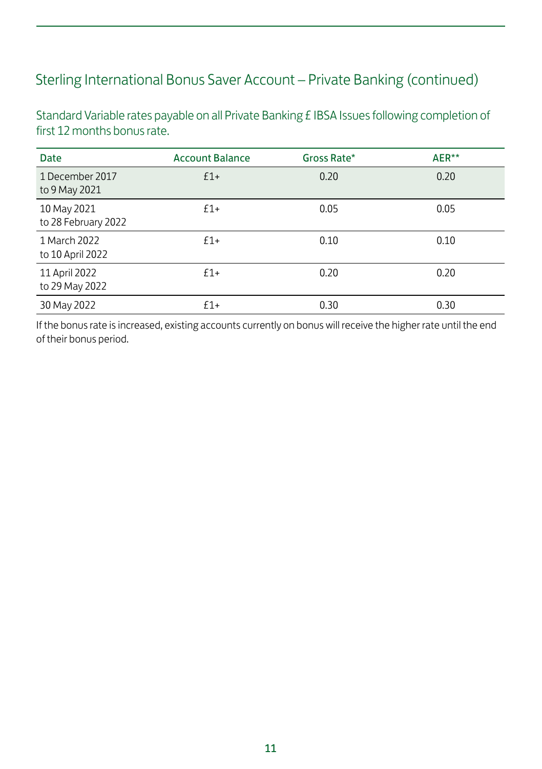Standard Variable rates payable on all Private Banking £ IBSA Issues following completion of first 12 months bonus rate.

| <b>Date</b>                        | <b>Account Balance</b> | Gross Rate* | AER** |
|------------------------------------|------------------------|-------------|-------|
| 1 December 2017<br>to 9 May 2021   | $£1+$                  | 0.20        | 0.20  |
| 10 May 2021<br>to 28 February 2022 | $f1+$                  | 0.05        | 0.05  |
| 1 March 2022<br>to 10 April 2022   | $f1+$                  | 0.10        | 0.10  |
| 11 April 2022<br>to 29 May 2022    | $f1+$                  | 0.20        | 0.20  |
| 30 May 2022                        | $f1+$                  | 0.30        | 0.30  |

If the bonus rate is increased, existing accounts currently on bonus will receive the higher rate until the end of their bonus period.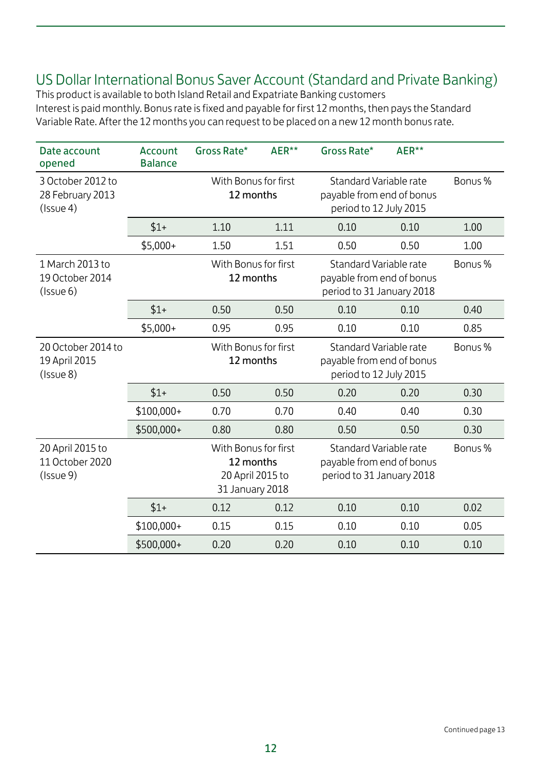#### US Dollar International Bonus Saver Account (Standard and Private Banking)

This product is available to both Island Retail and Expatriate Banking customers Interest is paid monthly. Bonus rate is fixed and payable for first 12 months, then pays the Standard Variable Rate. After the 12 months you can request to be placed on a new 12 month bonus rate.

| Date account<br>opened                            | Account<br><b>Balance</b> | Gross Rate*                                                              | AER**                             | Gross Rate*                                                                      | AER**                                                                         |         |
|---------------------------------------------------|---------------------------|--------------------------------------------------------------------------|-----------------------------------|----------------------------------------------------------------------------------|-------------------------------------------------------------------------------|---------|
| 3 October 2012 to<br>28 February 2013<br>(Issue4) |                           | With Bonus for first<br>12 months                                        |                                   | Standard Variable rate<br>payable from end of bonus<br>period to 12 July 2015    |                                                                               | Bonus % |
|                                                   | $$1+$                     | 1.10                                                                     | 1.11                              | 0.10                                                                             | 0.10                                                                          | 1.00    |
|                                                   | $$5,000+$                 | 1.50                                                                     | 1.51                              | 0.50                                                                             | 0.50                                                                          | 1.00    |
| 1 March 2013 to<br>19 October 2014<br>(Issue 6)   |                           | With Bonus for first<br>12 months                                        |                                   | Standard Variable rate<br>payable from end of bonus<br>period to 31 January 2018 |                                                                               | Bonus % |
|                                                   | $$1+$                     | 0.50                                                                     | 0.50                              | 0.10                                                                             | 0.10                                                                          | 0.40    |
|                                                   | $$5,000+$                 | 0.95                                                                     | 0.95                              | 0.10                                                                             | 0.10                                                                          | 0.85    |
| 20 October 2014 to<br>19 April 2015<br>(Issue8)   |                           |                                                                          | With Bonus for first<br>12 months |                                                                                  | Standard Variable rate<br>payable from end of bonus<br>period to 12 July 2015 |         |
|                                                   | $$1+$                     | 0.50                                                                     | 0.50                              | 0.20                                                                             | 0.20                                                                          | 0.30    |
|                                                   | \$100,000+                | 0.70                                                                     | 0.70                              | 0.40                                                                             | 0.40                                                                          | 0.30    |
|                                                   | \$500,000+                | 0.80                                                                     | 0.80                              | 0.50                                                                             | 0.50                                                                          | 0.30    |
| 20 April 2015 to<br>11 October 2020<br>(Issue 9)  |                           | With Bonus for first<br>12 months<br>20 April 2015 to<br>31 January 2018 |                                   | Standard Variable rate<br>payable from end of bonus<br>period to 31 January 2018 |                                                                               | Bonus % |
|                                                   | $$1+$                     | 0.12                                                                     | 0.12                              | 0.10                                                                             | 0.10                                                                          | 0.02    |
|                                                   | \$100,000+                | 0.15                                                                     | 0.15                              | 0.10                                                                             | 0.10                                                                          | 0.05    |
|                                                   | \$500,000+                | 0.20                                                                     | 0.20                              | 0.10                                                                             | 0.10                                                                          | 0.10    |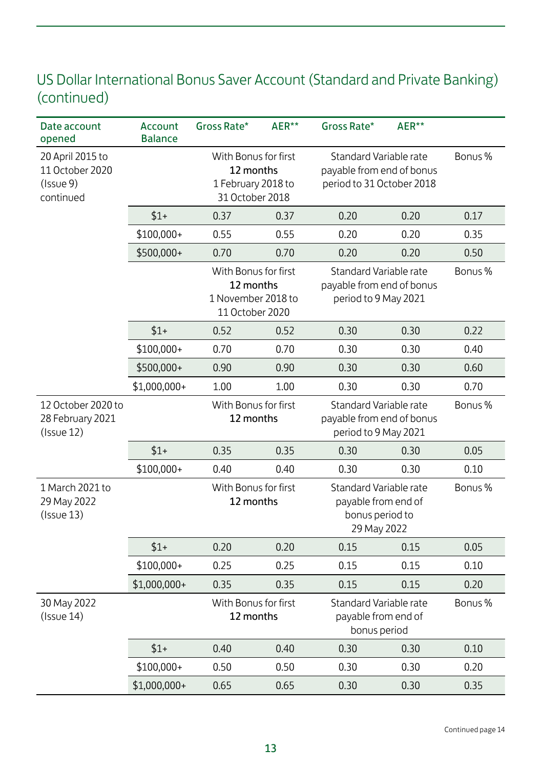#### US Dollar International Bonus Saver Account (Standard and Private Banking) (continued)

| Date account<br>opened                                        | Account<br><b>Balance</b> | Gross Rate*                                                                | AER** | Gross Rate*                                                                      | AER** |         |
|---------------------------------------------------------------|---------------------------|----------------------------------------------------------------------------|-------|----------------------------------------------------------------------------------|-------|---------|
| 20 April 2015 to<br>11 October 2020<br>(Issue 9)<br>continued |                           | With Bonus for first<br>12 months<br>1 February 2018 to<br>31 October 2018 |       | Standard Variable rate<br>payable from end of bonus<br>period to 31 October 2018 |       | Bonus % |
|                                                               | $$1+$                     | 0.37                                                                       | 0.37  | 0.20                                                                             | 0.20  | 0.17    |
|                                                               | $$100,000+$               | 0.55                                                                       | 0.55  | 0.20                                                                             | 0.20  | 0.35    |
|                                                               | \$500,000+                | 0.70                                                                       | 0.70  | 0.20                                                                             | 0.20  | 0.50    |
|                                                               |                           | With Bonus for first<br>12 months<br>1 November 2018 to<br>11 October 2020 |       | Standard Variable rate<br>payable from end of bonus<br>period to 9 May 2021      |       | Bonus % |
|                                                               | $$1+$                     | 0.52                                                                       | 0.52  | 0.30                                                                             | 0.30  | 0.22    |
|                                                               | $$100,000+$               | 0.70                                                                       | 0.70  | 0.30                                                                             | 0.30  | 0.40    |
|                                                               | \$500,000+                | 0.90                                                                       | 0.90  | 0.30                                                                             | 0.30  | 0.60    |
|                                                               | \$1,000,000+              | 1.00                                                                       | 1.00  | 0.30                                                                             | 0.30  | 0.70    |
| 12 October 2020 to<br>28 February 2021<br>$($ Issue 12 $)$    |                           | With Bonus for first<br>12 months                                          |       | Standard Variable rate<br>payable from end of bonus<br>period to 9 May 2021      |       | Bonus % |
|                                                               | $$1+$                     | 0.35                                                                       | 0.35  | 0.30                                                                             | 0.30  | 0.05    |
|                                                               | $$100,000+$               | 0.40                                                                       | 0.40  | 0.30                                                                             | 0.30  | 0.10    |
| 1 March 2021 to<br>29 May 2022<br>(Issue13)                   |                           | With Bonus for first<br>12 months                                          |       | Standard Variable rate<br>payable from end of<br>bonus period to<br>29 May 2022  |       | Bonus % |
|                                                               | $$1+$                     | 0.20                                                                       | 0.20  | 0.15                                                                             | 0.15  | 0.05    |
|                                                               | $$100,000+$               | 0.25                                                                       | 0.25  | 0.15                                                                             | 0.15  | 0.10    |
|                                                               | \$1,000,000+              | 0.35                                                                       | 0.35  | 0.15                                                                             | 0.15  | 0.20    |
| 30 May 2022<br>$($ Issue 14 $)$                               |                           | With Bonus for first<br>12 months                                          |       | Standard Variable rate<br>payable from end of<br>bonus period                    |       | Bonus % |
|                                                               | $$1+$                     | 0.40                                                                       | 0.40  | 0.30                                                                             | 0.30  | 0.10    |
|                                                               | $$100,000+$               | 0.50                                                                       | 0.50  | 0.30                                                                             | 0.30  | 0.20    |
|                                                               | $$1,000,000+$             | 0.65                                                                       | 0.65  | 0.30                                                                             | 0.30  | 0.35    |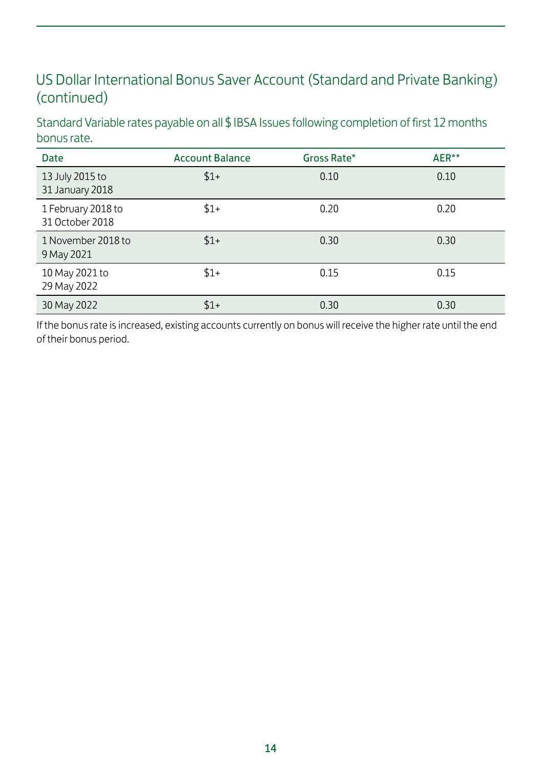#### US Dollar International Bonus Saver Account (Standard and Private Banking) (continued)

Standard Variable rates payable on all \$ IBSA Issues following completion of first 12 months bonus rate.

| <b>Date</b>                           | <b>Account Balance</b> | Gross Rate* | AER** |
|---------------------------------------|------------------------|-------------|-------|
| 13 July 2015 to<br>31 January 2018    | $$1+$                  | 0.10        | 0.10  |
| 1 February 2018 to<br>31 October 2018 | $$1+$                  | 0.20        | 0.20  |
| 1 November 2018 to<br>9 May 2021      | $$1+$                  | 0.30        | 0.30  |
| 10 May 2021 to<br>29 May 2022         | $$1+$                  | 0.15        | 0.15  |
| 30 May 2022                           | $$1+$                  | 0.30        | 0.30  |

If the bonus rate is increased, existing accounts currently on bonus will receive the higher rate until the end of their bonus period.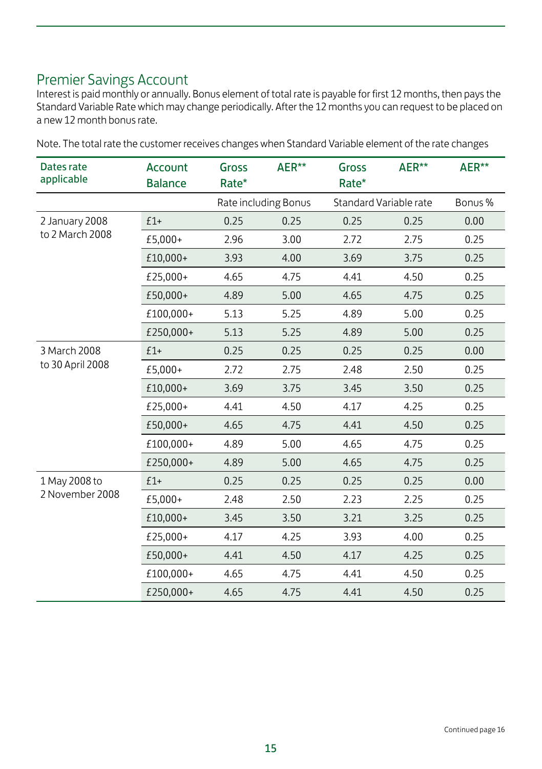### Premier Savings Account

Interest is paid monthly or annually. Bonus element of total rate is payable for first 12 months, then pays the Standard Variable Rate which may change periodically. After the 12 months you can request to be placed on a new 12 month bonus rate.

| Dates rate<br>applicable | Account<br><b>Balance</b> | Gross<br>Rate* | AER**                | Gross<br>Rate* | AER**                  | AER**  |
|--------------------------|---------------------------|----------------|----------------------|----------------|------------------------|--------|
|                          |                           |                | Rate including Bonus |                | Standard Variable rate | Bonus% |
| 2 January 2008           | $£1+$                     | 0.25           | 0.25                 | 0.25           | 0.25                   | 0.00   |
| to 2 March 2008          | £5,000+                   | 2.96           | 3.00                 | 2.72           | 2.75                   | 0.25   |
|                          | £10,000+                  | 3.93           | 4.00                 | 3.69           | 3.75                   | 0.25   |
|                          | £25,000+                  | 4.65           | 4.75                 | 4.41           | 4.50                   | 0.25   |
|                          | £50,000+                  | 4.89           | 5.00                 | 4.65           | 4.75                   | 0.25   |
|                          | £100,000+                 | 5.13           | 5.25                 | 4.89           | 5.00                   | 0.25   |
|                          | £250,000+                 | 5.13           | 5.25                 | 4.89           | 5.00                   | 0.25   |
| 3 March 2008             | $£1+$                     | 0.25           | 0.25                 | 0.25           | 0.25                   | 0.00   |
| to 30 April 2008         | £5,000+                   | 2.72           | 2.75                 | 2.48           | 2.50                   | 0.25   |
|                          | £10,000+                  | 3.69           | 3.75                 | 3.45           | 3.50                   | 0.25   |
|                          | £25,000+                  | 4.41           | 4.50                 | 4.17           | 4.25                   | 0.25   |
|                          | £50,000+                  | 4.65           | 4.75                 | 4.41           | 4.50                   | 0.25   |
|                          | £100,000+                 | 4.89           | 5.00                 | 4.65           | 4.75                   | 0.25   |
|                          | £250,000+                 | 4.89           | 5.00                 | 4.65           | 4.75                   | 0.25   |
| 1 May 2008 to            | $£1+$                     | 0.25           | 0.25                 | 0.25           | 0.25                   | 0.00   |
| 2 November 2008          | £5,000+                   | 2.48           | 2.50                 | 2.23           | 2.25                   | 0.25   |
|                          | £10.000+                  | 3.45           | 3.50                 | 3.21           | 3.25                   | 0.25   |
|                          | £25,000+                  | 4.17           | 4.25                 | 3.93           | 4.00                   | 0.25   |
|                          | £50,000+                  | 4.41           | 4.50                 | 4.17           | 4.25                   | 0.25   |
|                          | £100,000+                 | 4.65           | 4.75                 | 4.41           | 4.50                   | 0.25   |
|                          | £250,000+                 | 4.65           | 4.75                 | 4.41           | 4.50                   | 0.25   |

Note. The total rate the customer receives changes when Standard Variable element of the rate changes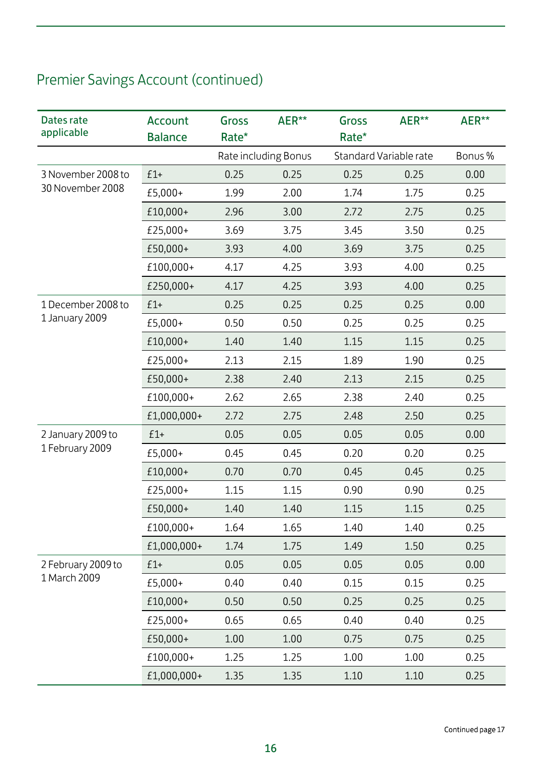| Dates rate<br>applicable           | Account<br><b>Balance</b> | <b>Gross</b><br>Rate* | AER**                | Gross<br>Rate* | AER**                  | AER**  |
|------------------------------------|---------------------------|-----------------------|----------------------|----------------|------------------------|--------|
|                                    |                           |                       | Rate including Bonus |                | Standard Variable rate | Bonus% |
| 3 November 2008 to                 | $£1+$                     | 0.25                  | 0.25                 | 0.25           | 0.25                   | 0.00   |
| 30 November 2008                   | £5,000+                   | 1.99                  | 2.00                 | 1.74           | 1.75                   | 0.25   |
|                                    | £10,000+                  | 2.96                  | 3.00                 | 2.72           | 2.75                   | 0.25   |
|                                    | £25,000+                  | 3.69                  | 3.75                 | 3.45           | 3.50                   | 0.25   |
|                                    | £50,000+                  | 3.93                  | 4.00                 | 3.69           | 3.75                   | 0.25   |
|                                    | £100,000+                 | 4.17                  | 4.25                 | 3.93           | 4.00                   | 0.25   |
|                                    | £250,000+                 | 4.17                  | 4.25                 | 3.93           | 4.00                   | 0.25   |
| 1 December 2008 to                 | $£1+$                     | 0.25                  | 0.25                 | 0.25           | 0.25                   | 0.00   |
| 1 January 2009                     | £5,000+                   | 0.50                  | 0.50                 | 0.25           | 0.25                   | 0.25   |
|                                    | £10,000+                  | 1.40                  | 1.40                 | 1.15           | 1.15                   | 0.25   |
|                                    | £25,000+                  | 2.13                  | 2.15                 | 1.89           | 1.90                   | 0.25   |
|                                    | £50,000+                  | 2.38                  | 2.40                 | 2.13           | 2.15                   | 0.25   |
|                                    | £100,000+                 | 2.62                  | 2.65                 | 2.38           | 2.40                   | 0.25   |
|                                    | £1,000,000+               | 2.72                  | 2.75                 | 2.48           | 2.50                   | 0.25   |
| 2 January 2009 to                  | $£1+$                     | 0.05                  | 0.05                 | 0.05           | 0.05                   | 0.00   |
| 1 February 2009                    | £5,000+                   | 0.45                  | 0.45                 | 0.20           | 0.20                   | 0.25   |
|                                    | £10,000+                  | 0.70                  | 0.70                 | 0.45           | 0.45                   | 0.25   |
|                                    | £25,000+                  | 1.15                  | 1.15                 | 0.90           | 0.90                   | 0.25   |
|                                    | £50,000+                  | 1.40                  | 1.40                 | 1.15           | 1.15                   | 0.25   |
|                                    | £100,000+                 | 1.64                  | 1.65                 | 1.40           | 1.40                   | 0.25   |
|                                    | £1,000,000+               | 1.74                  | 1.75                 | 1.49           | 1.50                   | 0.25   |
| 2 February 2009 to<br>1 March 2009 | $£1+$                     | 0.05                  | 0.05                 | 0.05           | 0.05                   | 0.00   |
|                                    | £5,000+                   | 0.40                  | 0.40                 | 0.15           | 0.15                   | 0.25   |
|                                    | £10,000+                  | 0.50                  | 0.50                 | 0.25           | 0.25                   | 0.25   |
|                                    | £25,000+                  | 0.65                  | 0.65                 | 0.40           | 0.40                   | 0.25   |
|                                    | £50,000+                  | 1.00                  | 1.00                 | 0.75           | 0.75                   | 0.25   |
|                                    | £100,000+                 | 1.25                  | 1.25                 | 1.00           | 1.00                   | 0.25   |
|                                    | £1,000,000+               | 1.35                  | 1.35                 | 1.10           | 1.10                   | 0.25   |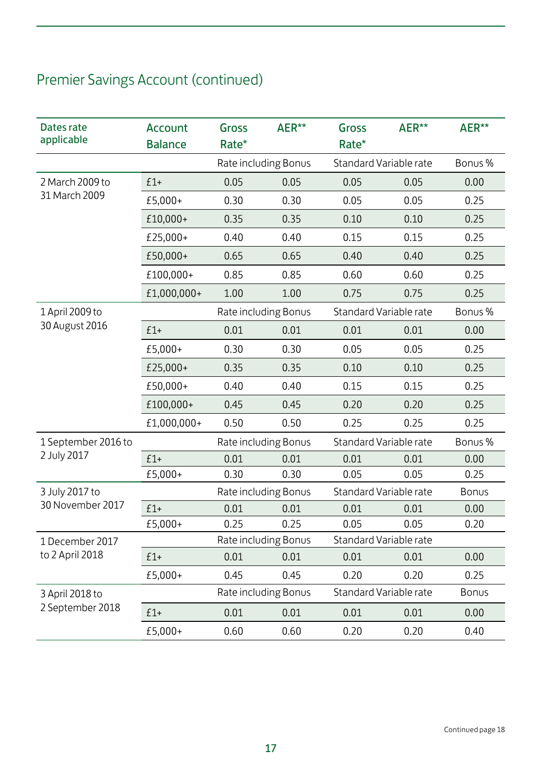| Dates rate<br>applicable | Account<br><b>Balance</b> | Gross<br>Rate* | AER**                | Gross<br>Rate*         | AER**                  | AER**        |
|--------------------------|---------------------------|----------------|----------------------|------------------------|------------------------|--------------|
|                          |                           |                | Rate including Bonus |                        | Standard Variable rate | Bonus%       |
| 2 March 2009 to          | $£1+$                     | 0.05           | 0.05                 | 0.05                   | 0.05                   | 0.00         |
| 31 March 2009            | £5,000+                   | 0.30           | 0.30                 | 0.05                   | 0.05                   | 0.25         |
|                          | £10,000+                  | 0.35           | 0.35                 | 0.10                   | 0.10                   | 0.25         |
|                          | £25,000+                  | 0.40           | 0.40                 | 0.15                   | 0.15                   | 0.25         |
|                          | £50,000+                  | 0.65           | 0.65                 | 0.40                   | 0.40                   | 0.25         |
|                          | £100,000+                 | 0.85           | 0.85                 | 0.60                   | 0.60                   | 0.25         |
|                          | £1,000,000+               | 1.00           | 1.00                 | 0.75                   | 0.75                   | 0.25         |
| 1 April 2009 to          |                           |                | Rate including Bonus |                        | Standard Variable rate | Bonus%       |
| 30 August 2016           | $£1+$                     | 0.01           | 0.01                 | 0.01                   | 0.01                   | 0.00         |
|                          | £5,000+                   | 0.30           | 0.30                 | 0.05                   | 0.05                   | 0.25         |
|                          | £25,000+                  | 0.35           | 0.35                 | 0.10                   | 0.10                   | 0.25         |
|                          | £50,000+                  | 0.40           | 0.40                 | 0.15                   | 0.15                   | 0.25         |
|                          | £100,000+                 | 0.45           | 0.45                 | 0.20                   | 0.20                   | 0.25         |
|                          | £1,000,000+               | 0.50           | 0.50                 | 0.25                   | 0.25                   | 0.25         |
| 1 September 2016 to      |                           |                | Rate including Bonus | Standard Variable rate |                        | Bonus%       |
| 2 July 2017              | $£1+$                     | 0.01           | 0.01                 | 0.01                   | 0.01                   | 0.00         |
|                          | £5,000+                   | 0.30           | 0.30                 | 0.05                   | 0.05                   | 0.25         |
| 3 July 2017 to           |                           |                | Rate including Bonus |                        | Standard Variable rate | <b>Bonus</b> |
| 30 November 2017         | $£1+$                     | 0.01           | 0.01                 | 0.01                   | 0.01                   | 0.00         |
|                          | £5,000+                   | 0.25           | 0.25                 | 0.05                   | 0.05                   | 0.20         |
| 1 December 2017          |                           |                | Rate including Bonus |                        | Standard Variable rate |              |
| to 2 April 2018          | $£1+$                     | 0.01           | 0.01                 | 0.01                   | 0.01                   | 0.00         |
|                          | £5,000+                   | 0.45           | 0.45                 | 0.20                   | 0.20                   | 0.25         |
| 3 April 2018 to          |                           |                | Rate including Bonus |                        | Standard Variable rate | <b>Bonus</b> |
| 2 September 2018         | $£1+$                     | 0.01           | 0.01                 | 0.01                   | 0.01                   | 0.00         |
|                          | £5,000+                   | 0.60           | 0.60                 | 0.20                   | 0.20                   | 0.40         |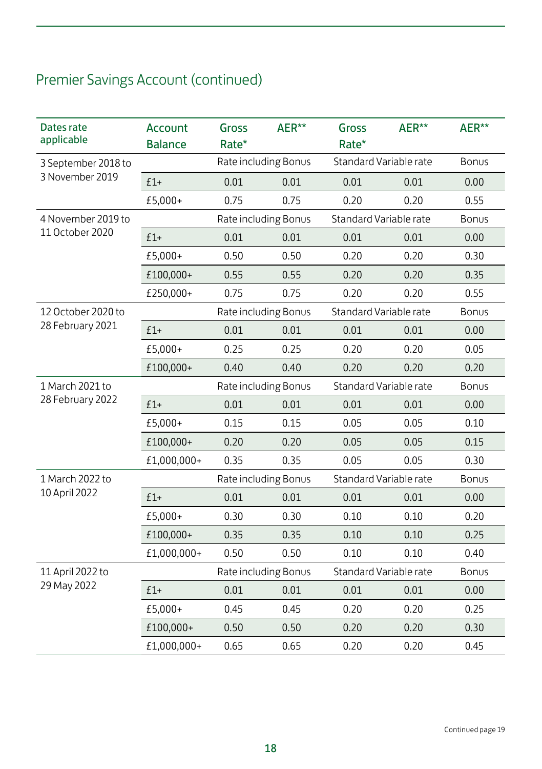| Dates rate<br>applicable | Account<br><b>Balance</b> | Gross<br>Rate* | AER**                | Gross<br>Rate*         | AER**                  | AER**        |
|--------------------------|---------------------------|----------------|----------------------|------------------------|------------------------|--------------|
| 3 September 2018 to      |                           |                | Rate including Bonus |                        | Standard Variable rate | <b>Bonus</b> |
| 3 November 2019          | $£1+$                     | 0.01           | 0.01                 | 0.01                   | 0.01                   | 0.00         |
|                          | £5,000+                   | 0.75           | 0.75                 | 0.20                   | 0.20                   | 0.55         |
| 4 November 2019 to       |                           |                | Rate including Bonus | Standard Variable rate |                        | <b>Bonus</b> |
| 11 October 2020          | $£1+$                     | 0.01           | 0.01                 | 0.01                   | 0.01                   | 0.00         |
|                          | £5,000+                   | 0.50           | 0.50                 | 0.20                   | 0.20                   | 0.30         |
|                          | £100,000+                 | 0.55           | 0.55                 | 0.20                   | 0.20                   | 0.35         |
|                          | £250,000+                 | 0.75           | 0.75                 | 0.20                   | 0.20                   | 0.55         |
| 12 October 2020 to       |                           |                | Rate including Bonus | Standard Variable rate |                        | <b>Bonus</b> |
| 28 February 2021         | $£1+$                     | 0.01           | 0.01                 | 0.01                   | 0.01                   | 0.00         |
|                          | £5,000+                   | 0.25           | 0.25                 | 0.20                   | 0.20                   | 0.05         |
|                          | £100,000+                 | 0.40           | 0.40                 | 0.20                   | 0.20                   | 0.20         |
| 1 March 2021 to          |                           |                | Rate including Bonus |                        | Standard Variable rate | Bonus        |
| 28 February 2022         | $£1+$                     | 0.01           | 0.01                 | 0.01                   | 0.01                   | 0.00         |
|                          | £5,000+                   | 0.15           | 0.15                 | 0.05                   | 0.05                   | 0.10         |
|                          | £100,000+                 | 0.20           | 0.20                 | 0.05                   | 0.05                   | 0.15         |
|                          | £1,000,000+               | 0.35           | 0.35                 | 0.05                   | 0.05                   | 0.30         |
| 1 March 2022 to          |                           |                | Rate including Bonus |                        | Standard Variable rate | Bonus        |
| 10 April 2022            | $£1+$                     | 0.01           | 0.01                 | 0.01                   | 0.01                   | 0.00         |
|                          | £5,000+                   | 0.30           | 0.30                 | 0.10                   | 0.10                   | 0.20         |
|                          | £100,000+                 | 0.35           | 0.35                 | 0.10                   | 0.10                   | 0.25         |
|                          | £1,000,000+               | 0.50           | 0.50                 | 0.10                   | 0.10                   | 0.40         |
| 11 April 2022 to         |                           |                | Rate including Bonus |                        | Standard Variable rate | <b>Bonus</b> |
| 29 May 2022              | $£1+$                     | 0.01           | 0.01                 | 0.01                   | 0.01                   | 0.00         |
|                          | £5,000+                   | 0.45           | 0.45                 | 0.20                   | 0.20                   | 0.25         |
|                          | £100,000+                 | 0.50           | 0.50                 | 0.20                   | 0.20                   | 0.30         |
|                          | £1,000,000+               | 0.65           | 0.65                 | 0.20                   | 0.20                   | 0.45         |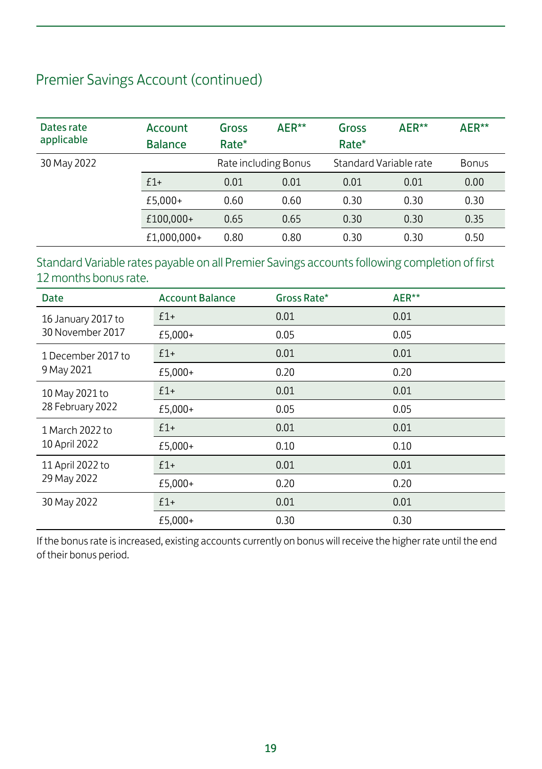| Dates rate<br>applicable | Account<br><b>Balance</b> | Gross<br>Rate* | AER**                | Gross<br>Rate*         | AER** | AER**        |
|--------------------------|---------------------------|----------------|----------------------|------------------------|-------|--------------|
| 30 May 2022              |                           |                | Rate including Bonus | Standard Variable rate |       | <b>Bonus</b> |
|                          | $f1+$                     | 0.01           | 0.01                 | 0.01                   | 0.01  | 0.00         |
|                          | £5,000+                   | 0.60           | 0.60                 | 0.30                   | 0.30  | 0.30         |
|                          | £100,000+                 | 0.65           | 0.65                 | 0.30                   | 0.30  | 0.35         |
|                          | £1,000,000+               | 0.80           | 0.80                 | 0.30                   | 0.30  | 0.50         |

#### Standard Variable rates payable on all Premier Savings accounts following completion of first 12 months bonus rate.

| <b>Date</b>        | <b>Account Balance</b> | Gross Rate* | AER** |
|--------------------|------------------------|-------------|-------|
| 16 January 2017 to | $£1+$                  | 0.01        | 0.01  |
| 30 November 2017   | £5,000+                | 0.05        | 0.05  |
| 1 December 2017 to | $£1+$                  | 0.01        | 0.01  |
| 9 May 2021         | £5,000+                | 0.20        | 0.20  |
| 10 May 2021 to     | $£1+$                  | 0.01        | 0.01  |
| 28 February 2022   | £5,000+                | 0.05        | 0.05  |
| 1 March 2022 to    | $£1+$                  | 0.01        | 0.01  |
| 10 April 2022      | £5,000+                | 0.10        | 0.10  |
| 11 April 2022 to   | $f1+$                  | 0.01        | 0.01  |
| 29 May 2022        | £5,000+                | 0.20        | 0.20  |
| 30 May 2022        | $£1+$                  | 0.01        | 0.01  |
|                    | £5,000+                | 0.30        | 0.30  |

If the bonus rate is increased, existing accounts currently on bonus will receive the higher rate until the end of their bonus period.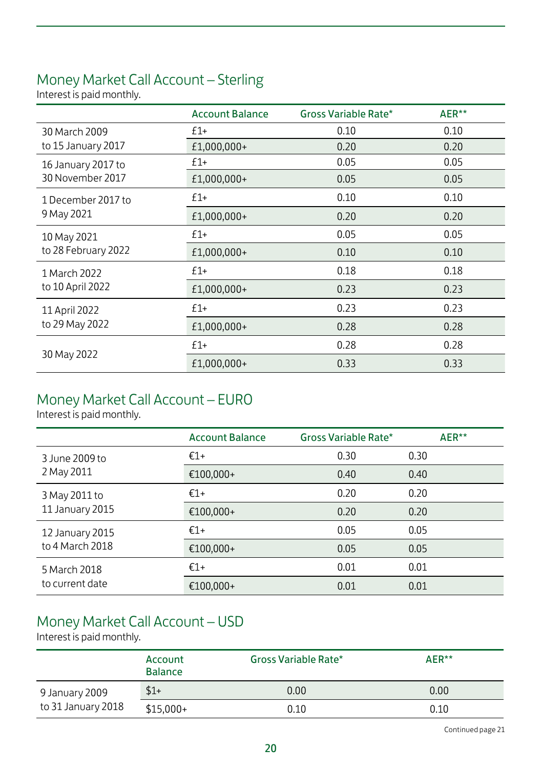### Money Market Call Account – Sterling

Interest is paid monthly.

|                     | <b>Account Balance</b> | Gross Variable Rate* | AER** |
|---------------------|------------------------|----------------------|-------|
| 30 March 2009       | $f1+$                  | 0.10                 | 0.10  |
| to 15 January 2017  | £1,000,000+            | 0.20                 | 0.20  |
| 16 January 2017 to  | $f1+$                  | 0.05                 | 0.05  |
| 30 November 2017    | £1,000,000+            | 0.05                 | 0.05  |
| 1 December 2017 to  | $f1+$                  | 0.10                 | 0.10  |
| 9 May 2021          | £1,000,000+            | 0.20                 | 0.20  |
| 10 May 2021         | $f1+$                  | 0.05                 | 0.05  |
| to 28 February 2022 | £1,000,000+            | 0.10                 | 0.10  |
| 1 March 2022        | $£1+$                  | 0.18                 | 0.18  |
| to 10 April 2022    | £1,000,000+            | 0.23                 | 0.23  |
| 11 April 2022       | $f1+$                  | 0.23                 | 0.23  |
| to 29 May 2022      | £1,000,000+            | 0.28                 | 0.28  |
|                     | $f1+$                  | 0.28                 | 0.28  |
| 30 May 2022         | £1,000,000+            | 0.33                 | 0.33  |

### Money Market Call Account – EURO

Interest is paid monthly.

|                                  | <b>Account Balance</b> | Gross Variable Rate* | AER** |
|----------------------------------|------------------------|----------------------|-------|
| 3 June 2009 to<br>2 May 2011     | $€1+$                  | 0.30                 | 0.30  |
|                                  | €100,000+              | 0.40                 | 0.40  |
| 3 May 2011 to<br>11 January 2015 | $€1+$                  | 0.20                 | 0.20  |
|                                  | €100,000+              | 0.20                 | 0.20  |
| 12 January 2015                  | $€1+$                  | 0.05                 | 0.05  |
| to 4 March 2018                  | €100,000+              | 0.05                 | 0.05  |
| 5 March 2018<br>to current date  | $€1+$                  | 0.01                 | 0.01  |
|                                  | €100,000+              | 0.01                 | 0.01  |

### Money Market Call Account – USD

Interest is paid monthly.

|                    | Account<br><b>Balance</b> | Gross Variable Rate* | AER** |
|--------------------|---------------------------|----------------------|-------|
| 9 January 2009     | $$1+$                     | 0.00                 | 0.00  |
| to 31 January 2018 | $$15,000+$                | 0.10                 | 0.10  |

Continued page 21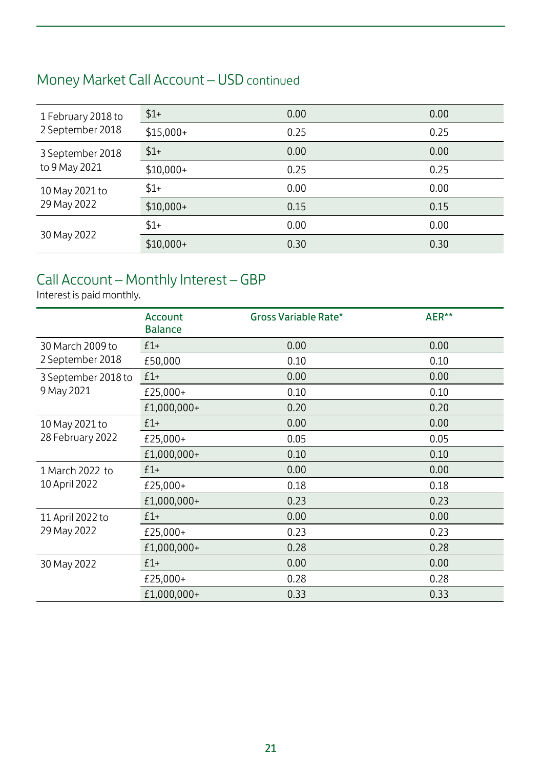### Money Market Call Account – USD continued

| 1 February 2018 to<br>2 September 2018 | $$1+$      | 0.00 | 0.00 |
|----------------------------------------|------------|------|------|
|                                        | $$15,000+$ | 0.25 | 0.25 |
| 3 September 2018<br>to 9 May 2021      | $$1+$      | 0.00 | 0.00 |
|                                        | $$10,000+$ | 0.25 | 0.25 |
| 10 May 2021 to<br>29 May 2022          | $$1+$      | 0.00 | 0.00 |
|                                        | $$10,000+$ | 0.15 | 0.15 |
| 30 May 2022                            | $$1+$      | 0.00 | 0.00 |
|                                        | $$10,000+$ | 0.30 | 0.30 |

#### Call Account – Monthly Interest – GBP

Interest is paid monthly.

|                     | Account<br><b>Balance</b> | Gross Variable Rate* | AER** |
|---------------------|---------------------------|----------------------|-------|
| 30 March 2009 to    | $£1+$                     | 0.00                 | 0.00  |
| 2 September 2018    | £50,000                   | 0.10                 | 0.10  |
| 3 September 2018 to | $£1+$                     | 0.00                 | 0.00  |
| 9 May 2021          | £25,000+                  | 0.10                 | 0.10  |
|                     | £1,000,000+               | 0.20                 | 0.20  |
| 10 May 2021 to      | $£1+$                     | 0.00                 | 0.00  |
| 28 February 2022    | £25,000+                  | 0.05                 | 0.05  |
|                     | £1,000,000+               | 0.10                 | 0.10  |
| 1 March 2022 to     | $£1+$                     | 0.00                 | 0.00  |
| 10 April 2022       | £25,000+                  | 0.18                 | 0.18  |
|                     | £1,000,000+               | 0.23                 | 0.23  |
| 11 April 2022 to    | $f1+$                     | 0.00                 | 0.00  |
| 29 May 2022         | £25,000+                  | 0.23                 | 0.23  |
|                     | £1,000,000+               | 0.28                 | 0.28  |
| 30 May 2022         | $f1+$                     | 0.00                 | 0.00  |
|                     | £25,000+                  | 0.28                 | 0.28  |
|                     | £1,000,000+               | 0.33                 | 0.33  |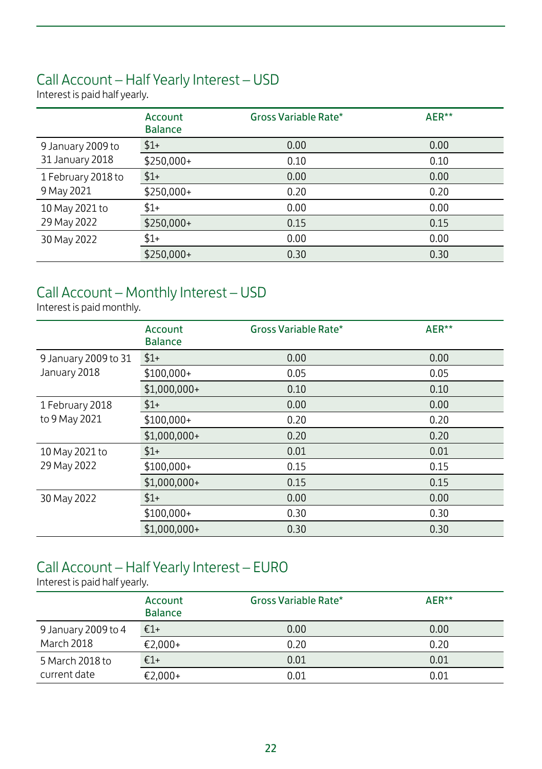#### Call Account – Half Yearly Interest – USD

Interest is paid half yearly.

|                                  | Account<br><b>Balance</b> | Gross Variable Rate* | AER** |
|----------------------------------|---------------------------|----------------------|-------|
| 9 January 2009 to                | $$1+$                     | 0.00                 | 0.00  |
| 31 January 2018                  | \$250,000+                | 0.10                 | 0.10  |
| 1 February 2018 to<br>9 May 2021 | $$1+$                     | 0.00                 | 0.00  |
|                                  | \$250,000+                | 0.20                 | 0.20  |
| 10 May 2021 to                   | $$1+$                     | 0.00                 | 0.00  |
| 29 May 2022                      | \$250,000+                | 0.15                 | 0.15  |
| 30 May 2022                      | $$1+$                     | 0.00                 | 0.00  |
|                                  | $$250,000+$               | 0.30                 | 0.30  |

#### Call Account – Monthly Interest – USD

Interest is paid monthly.

|                               | Account<br><b>Balance</b> | Gross Variable Rate* | AER** |
|-------------------------------|---------------------------|----------------------|-------|
| 9 January 2009 to 31          | $$1+$                     | 0.00                 | 0.00  |
| January 2018                  | $$100.000+$               | 0.05                 | 0.05  |
|                               | $$1,000,000+$             | 0.10                 | 0.10  |
| 1 February 2018               | $$1+$                     | 0.00                 | 0.00  |
| to 9 May 2021                 | $$100,000+$               | 0.20                 | 0.20  |
|                               | $$1,000,000+$             | 0.20                 | 0.20  |
| 10 May 2021 to<br>29 May 2022 | $$1+$                     | 0.01                 | 0.01  |
|                               | $$100,000+$               | 0.15                 | 0.15  |
|                               | $$1,000,000+$             | 0.15                 | 0.15  |
| 30 May 2022                   | $$1+$                     | 0.00                 | 0.00  |
|                               | $$100,000+$               | 0.30                 | 0.30  |
|                               | $$1.000.000+$             | 0.30                 | 0.30  |

#### Call Account – Half Yearly Interest – EURO

|                     | Account<br><b>Balance</b> | Gross Variable Rate* | AER** |
|---------------------|---------------------------|----------------------|-------|
| 9 January 2009 to 4 | €1+                       | 0.00                 | 0.00  |
| <b>March 2018</b>   | €2.000+                   | 0.20                 | 0.20  |
| 5 March 2018 to     | $€1+$                     | 0.01                 | 0.01  |
| current date        | €2,000+                   | 0.01                 | 0.01  |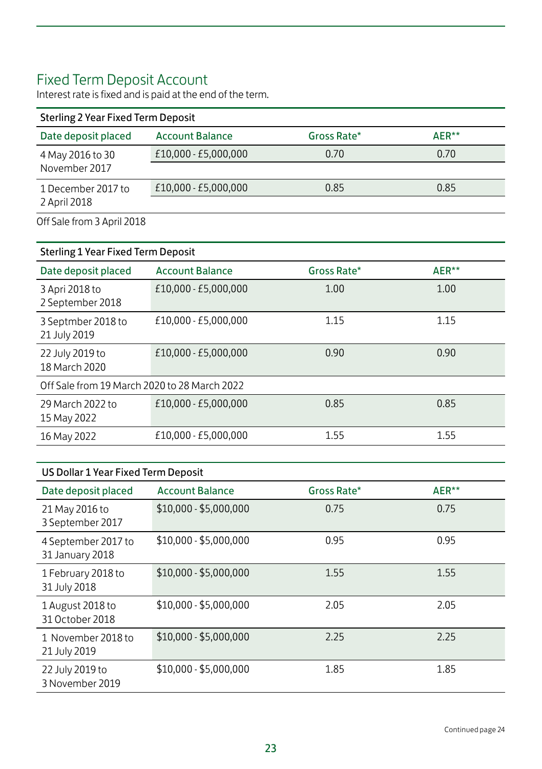### Fixed Term Deposit Account

Interest rate is fixed and is paid at the end of the term.

| Sterling 2 Year Fixed Term Deposit |                        |             |          |  |
|------------------------------------|------------------------|-------------|----------|--|
| Date deposit placed                | <b>Account Balance</b> | Gross Rate* | $AFR***$ |  |
| 4 May 2016 to 30<br>November 2017  | £10,000 - £5,000,000   | 0.70        | 0.70     |  |
| 1 December 2017 to<br>2 April 2018 | £10,000 - £5,000,000   | 0.85        | 0.85     |  |

Off Sale from 3 April 2018

| <b>Sterling 1 Year Fixed Term Deposit</b>    |                        |             |       |  |
|----------------------------------------------|------------------------|-------------|-------|--|
| Date deposit placed                          | <b>Account Balance</b> | Gross Rate* | AER** |  |
| 3 Apri 2018 to<br>2 September 2018           | £10,000 - £5,000,000   | 1.00        | 1.00  |  |
| 3 Septmber 2018 to<br>21 July 2019           | £10,000 - £5,000,000   | 1.15        | 1.15  |  |
| 22 July 2019 to<br>18 March 2020             | £10,000 - £5,000,000   | 0.90        | 0.90  |  |
| Off Sale from 19 March 2020 to 28 March 2022 |                        |             |       |  |
| 29 March 2022 to<br>15 May 2022              | £10.000 - £5.000.000   | 0.85        | 0.85  |  |
| 16 May 2022                                  | £10,000 - £5,000,000   | 1.55        | 1.55  |  |
|                                              |                        |             |       |  |

#### US Dollar 1 Year Fixed Term Deposit

| Date deposit placed                    | <b>Account Balance</b> | Gross Rate* | AER** |
|----------------------------------------|------------------------|-------------|-------|
| 21 May 2016 to<br>3 September 2017     | $$10,000 - $5,000,000$ | 0.75        | 0.75  |
| 4 September 2017 to<br>31 January 2018 | $$10,000 - $5,000,000$ | 0.95        | 0.95  |
| 1 February 2018 to<br>31 July 2018     | \$10,000 - \$5,000,000 | 1.55        | 1.55  |
| 1 August 2018 to<br>31 October 2018    | \$10,000 - \$5,000,000 | 2.05        | 2.05  |
| 1 November 2018 to<br>21 July 2019     | \$10,000 - \$5,000,000 | 2.25        | 2.25  |
| 22 July 2019 to<br>3 November 2019     | \$10,000 - \$5,000,000 | 1.85        | 1.85  |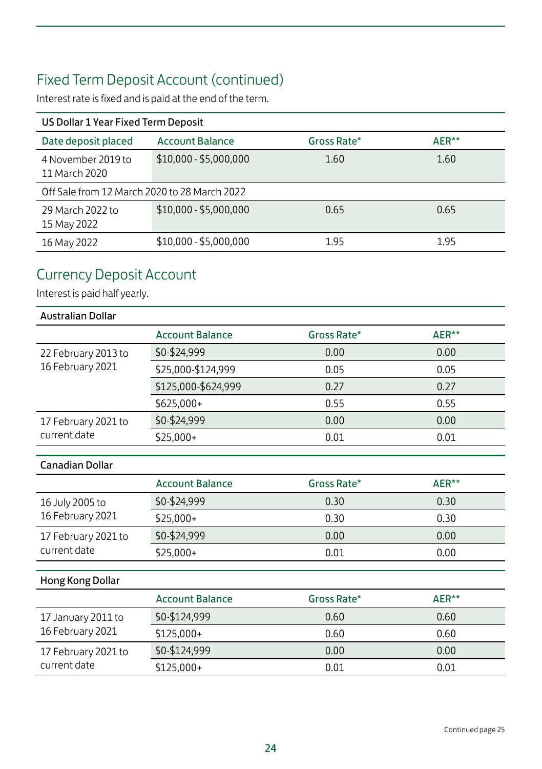### Fixed Term Deposit Account (continued)

Interest rate is fixed and is paid at the end of the term.

| US Dollar 1 Year Fixed Term Deposit          |                        |             |       |  |
|----------------------------------------------|------------------------|-------------|-------|--|
| Date deposit placed                          | <b>Account Balance</b> | Gross Rate* | AER** |  |
| 4 November 2019 to<br>11 March 2020          | \$10,000 - \$5,000,000 | 1.60        | 1.60  |  |
| Off Sale from 12 March 2020 to 28 March 2022 |                        |             |       |  |
| 29 March 2022 to<br>15 May 2022              | \$10,000 - \$5,000,000 | 0.65        | 0.65  |  |
| 16 May 2022                                  | \$10,000 - \$5,000,000 | 1.95        | 1.95  |  |

### Currency Deposit Account

| <b>Australian Dollar</b>            |                        |             |       |
|-------------------------------------|------------------------|-------------|-------|
|                                     | <b>Account Balance</b> | Gross Rate* | AER** |
| 22 February 2013 to                 | \$0-\$24,999           | 0.00        | 0.00  |
| 16 February 2021                    | \$25,000-\$124,999     | 0.05        | 0.05  |
|                                     | \$125,000-\$624,999    | 0.27        | 0.27  |
|                                     | \$625,000+             | 0.55        | 0.55  |
| 17 February 2021 to                 | \$0-\$24,999           | 0.00        | 0.00  |
| current date                        | $$25,000+$             | 0.01        | 0.01  |
|                                     |                        |             |       |
| <b>Canadian Dollar</b>              |                        |             |       |
|                                     | <b>Account Balance</b> | Gross Rate* | AER** |
| 16 July 2005 to<br>16 February 2021 | \$0-\$24,999           | 0.30        | 0.30  |
|                                     | $$25,000+$             | 0.30        | 0.30  |
| 17 February 2021 to                 | \$0-\$24,999           | 0.00        | 0.00  |
| current date                        | $$25,000+$             | 0.01        | 0.00  |
| Hong Kong Dollar                    |                        |             |       |
|                                     | <b>Account Balance</b> | Gross Rate* | AER** |
| 17 January 2011 to                  | \$0-\$124,999          | 0.60        | 0.60  |
| 16 February 2021                    | \$125,000+             | 0.60        | 0.60  |
| 17 February 2021 to                 | \$0-\$124,999          | 0.00        | 0.00  |
| current date                        | \$125,000+             | 0.01        | 0.01  |
|                                     |                        |             |       |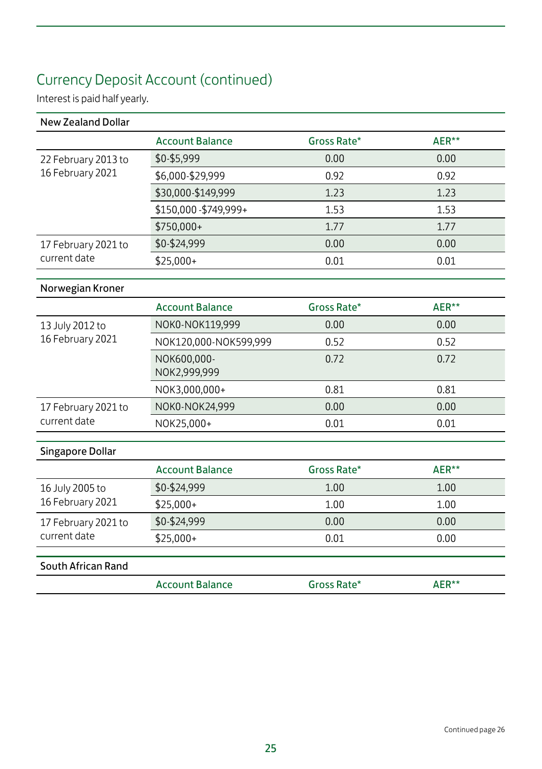## Currency Deposit Account (continued)

| <b>New Zealand Dollar</b> |                             |             |       |
|---------------------------|-----------------------------|-------------|-------|
|                           | <b>Account Balance</b>      | Gross Rate* | AER** |
| 22 February 2013 to       | \$0-\$5,999                 | 0.00        | 0.00  |
| 16 February 2021          | \$6,000-\$29,999            | 0.92        | 0.92  |
|                           | \$30,000-\$149,999          | 1.23        | 1.23  |
|                           | \$150,000-\$749,999+        | 1.53        | 1.53  |
|                           | \$750,000+                  | 1.77        | 1.77  |
| 17 February 2021 to       | \$0-\$24,999                | 0.00        | 0.00  |
| current date              | $$25,000+$                  | 0.01        | 0.01  |
| Norwegian Kroner          |                             |             |       |
|                           | <b>Account Balance</b>      | Gross Rate* | AER** |
| 13 July 2012 to           | NOK0-NOK119,999             | 0.00        | 0.00  |
| 16 February 2021          | NOK120,000-NOK599,999       | 0.52        | 0.52  |
|                           | NOK600,000-<br>NOK2,999,999 | 0.72        | 0.72  |
|                           | NOK3,000,000+               | 0.81        | 0.81  |
| 17 February 2021 to       | NOK0-NOK24,999              | 0.00        | 0.00  |
| current date              | NOK25,000+                  | 0.01        | 0.01  |
| <b>Singapore Dollar</b>   |                             |             |       |
|                           | <b>Account Balance</b>      | Gross Rate* | AER** |
| 16 July 2005 to           | \$0-\$24,999                | 1.00        | 1.00  |
| 16 February 2021          | $$25,000+$                  | 1.00        | 1.00  |
| 17 February 2021 to       | \$0-\$24,999                | 0.00        | 0.00  |
| current date              | \$25,000+                   | 0.01        | 0.00  |
| South African Rand        |                             |             |       |
|                           | <b>Account Balance</b>      | Gross Rate* | AER** |
|                           |                             |             |       |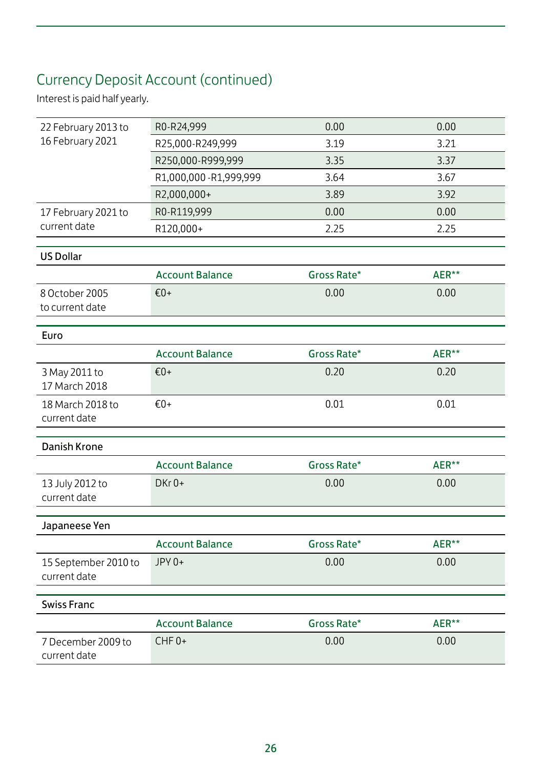### Currency Deposit Account (continued)

| R0-R24,999              | 0.00                                      | 0.00                        |
|-------------------------|-------------------------------------------|-----------------------------|
| R25,000-R249,999        | 3.19                                      | 3.21                        |
| R250,000-R999,999       | 3.35                                      | 3.37                        |
| R1,000,000 - R1,999,999 | 3.64                                      | 3.67                        |
| R2,000,000+             | 3.89                                      | 3.92                        |
| R0-R119,999             | 0.00                                      | 0.00                        |
| R120,000+               | 2.25                                      | 2.25                        |
|                         |                                           |                             |
|                         |                                           |                             |
|                         |                                           | AER**                       |
|                         |                                           | 0.00                        |
|                         |                                           |                             |
|                         |                                           |                             |
| <b>Account Balance</b>  | Gross Rate*                               | AER**                       |
| $€0+$                   | 0.20                                      | 0.20                        |
|                         |                                           |                             |
| $£0+$                   | 0.01                                      | 0.01                        |
|                         |                                           |                             |
|                         |                                           |                             |
| <b>Account Balance</b>  | Gross Rate*                               | AER**                       |
| $DKr 0+$                | 0.00                                      | 0.00                        |
|                         |                                           |                             |
|                         |                                           |                             |
| <b>Account Balance</b>  | Gross Rate*                               | AER**                       |
|                         |                                           | 0.00                        |
|                         |                                           |                             |
|                         |                                           |                             |
|                         |                                           |                             |
| <b>Account Balance</b>  | Gross Rate*                               | AER**                       |
| CHF <sub>0+</sub>       | 0.00                                      | 0.00                        |
|                         | <b>Account Balance</b><br>$€0+$<br>JPY 0+ | Gross Rate*<br>0.00<br>0.00 |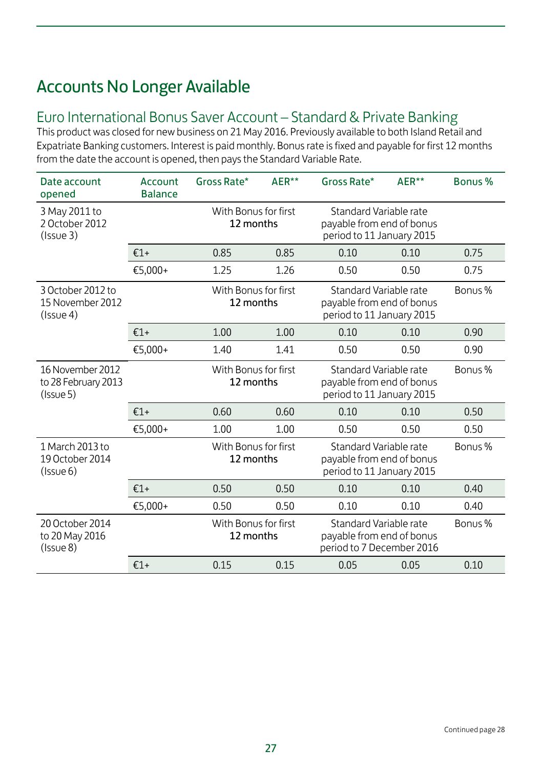### Accounts No Longer Available

#### Euro International Bonus Saver Account – Standard & Private Banking

This product was closed for new business on 21 May 2016. Previously available to both Island Retail and Expatriate Banking customers. Interest is paid monthly. Bonus rate is fixed and payable for first 12 months from the date the account is opened, then pays the Standard Variable Rate.

| Date account<br>opened                                           | Account<br><b>Balance</b>                                                                                             | Gross Rate*                       | AER**                                                                                                                 | Gross Rate*                                                                      | AER** | Bonus % |
|------------------------------------------------------------------|-----------------------------------------------------------------------------------------------------------------------|-----------------------------------|-----------------------------------------------------------------------------------------------------------------------|----------------------------------------------------------------------------------|-------|---------|
| 3 May 2011 to<br>2 October 2012<br>(Issue3)                      |                                                                                                                       |                                   | With Bonus for first<br>Standard Variable rate<br>12 months<br>payable from end of bonus<br>period to 11 January 2015 |                                                                                  |       |         |
|                                                                  | $£1+$                                                                                                                 | 0.85                              | 0.85                                                                                                                  | 0.10                                                                             | 0.10  | 0.75    |
|                                                                  | €5,000+                                                                                                               | 1.25                              | 1.26                                                                                                                  | 0.50                                                                             | 0.50  | 0.75    |
| 3 October 2012 to<br>15 November 2012<br>(Issue4)                |                                                                                                                       | With Bonus for first<br>12 months |                                                                                                                       | Standard Variable rate<br>payable from end of bonus<br>period to 11 January 2015 |       | Bonus % |
|                                                                  | $£1+$                                                                                                                 | 1.00                              | 1.00                                                                                                                  | 0.10                                                                             | 0.10  | 0.90    |
|                                                                  | €5,000+                                                                                                               | 1.40                              | 1.41                                                                                                                  | 0.50                                                                             | 0.50  | 0.90    |
| 16 November 2012<br>to 28 February 2013<br>(Issue <sub>5</sub> ) | Standard Variable rate<br>With Bonus for first<br>12 months<br>payable from end of bonus<br>period to 11 January 2015 |                                   |                                                                                                                       | Bonus %                                                                          |       |         |
|                                                                  | $£1+$                                                                                                                 | 0.60                              | 0.60                                                                                                                  | 0.10                                                                             | 0.10  | 0.50    |
|                                                                  | €5,000+                                                                                                               | 1.00                              | 1.00                                                                                                                  | 0.50                                                                             | 0.50  | 0.50    |
| 1 March 2013 to<br>19 October 2014<br>$($ Issue 6)               |                                                                                                                       | With Bonus for first<br>12 months |                                                                                                                       | Standard Variable rate<br>payable from end of bonus<br>period to 11 January 2015 |       | Bonus % |
|                                                                  | $£1+$                                                                                                                 | 0.50                              | 0.50                                                                                                                  | 0.10                                                                             | 0.10  | 0.40    |
|                                                                  | €5,000+                                                                                                               | 0.50                              | 0.50                                                                                                                  | 0.10                                                                             | 0.10  | 0.40    |
| 20 October 2014<br>to 20 May 2016<br>(Issue8)                    | With Bonus for first<br>Standard Variable rate<br>12 months<br>payable from end of bonus<br>period to 7 December 2016 |                                   |                                                                                                                       | Bonus %                                                                          |       |         |
|                                                                  | $£1+$                                                                                                                 | 0.15                              | 0.15                                                                                                                  | 0.05                                                                             | 0.05  | 0.10    |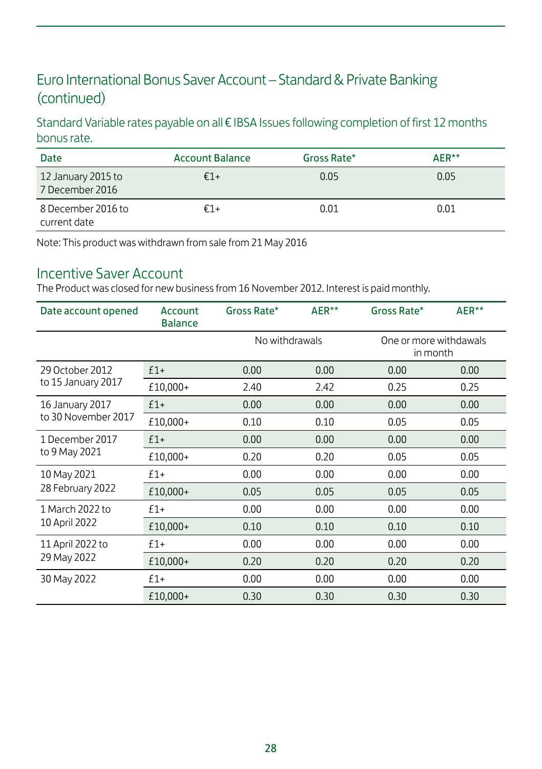#### Euro International Bonus Saver Account – Standard & Private Banking (continued)

Standard Variable rates payable on all € IBSA Issues following completion of first 12 months bonus rate.

| Date                                  | <b>Account Balance</b> | Gross Rate* | AFR** |
|---------------------------------------|------------------------|-------------|-------|
| 12 January 2015 to<br>7 December 2016 | $€1+$                  | 0.05        | 0.05  |
| 8 December 2016 to<br>current date    | €1+                    | 0.01        | 0.01  |

Note: This product was withdrawn from sale from 21 May 2016

#### Incentive Saver Account

The Product was closed for new business from 16 November 2012. Interest is paid monthly.

| Date account opened              | Account<br><b>Balance</b> | Gross Rate*    | AER** | Gross Rate*                        | AER** |
|----------------------------------|---------------------------|----------------|-------|------------------------------------|-------|
|                                  |                           | No withdrawals |       | One or more withdawals<br>in month |       |
| 29 October 2012                  | $£1+$                     | 0.00           | 0.00  | 0.00                               | 0.00  |
| to 15 January 2017               | £10,000+                  | 2.40           | 2.42  | 0.25                               | 0.25  |
| 16 January 2017                  | $£1+$                     | 0.00           | 0.00  | 0.00                               | 0.00  |
| to 30 November 2017              | £10,000+                  | 0.10           | 0.10  | 0.05                               | 0.05  |
| 1 December 2017                  | $£1+$                     | 0.00           | 0.00  | 0.00                               | 0.00  |
| to 9 May 2021                    | £10,000+                  | 0.20           | 0.20  | 0.05                               | 0.05  |
| 10 May 2021<br>28 February 2022  | $£1+$                     | 0.00           | 0.00  | 0.00                               | 0.00  |
|                                  | £10,000+                  | 0.05           | 0.05  | 0.05                               | 0.05  |
| 1 March 2022 to<br>10 April 2022 | $£1+$                     | 0.00           | 0.00  | 0.00                               | 0.00  |
|                                  | £10,000+                  | 0.10           | 0.10  | 0.10                               | 0.10  |
| 11 April 2022 to<br>29 May 2022  | $£1+$                     | 0.00           | 0.00  | 0.00                               | 0.00  |
|                                  | £10,000+                  | 0.20           | 0.20  | 0.20                               | 0.20  |
| 30 May 2022                      | $£1+$                     | 0.00           | 0.00  | 0.00                               | 0.00  |
|                                  | £10,000+                  | 0.30           | 0.30  | 0.30                               | 0.30  |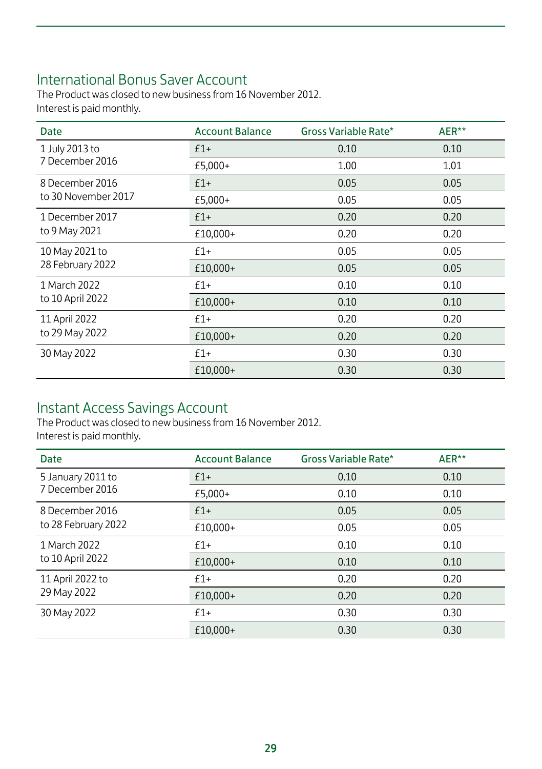### International Bonus Saver Account

The Product was closed to new business from 16 November 2012. Interest is paid monthly.

| <b>Date</b>                      | <b>Account Balance</b> | Gross Variable Rate* | AER** |
|----------------------------------|------------------------|----------------------|-------|
| 1 July 2013 to                   | $f1+$                  | 0.10                 | 0.10  |
| 7 December 2016                  | £5,000+                | 1.00                 | 1.01  |
| 8 December 2016                  | $£1+$                  | 0.05                 | 0.05  |
| to 30 November 2017              | £5,000+                | 0.05                 | 0.05  |
| 1 December 2017                  | $£1+$                  | 0.20                 | 0.20  |
| to 9 May 2021                    | £10,000+               | 0.20                 | 0.20  |
| 10 May 2021 to                   | $£1+$                  | 0.05                 | 0.05  |
| 28 February 2022                 | £10,000+               | 0.05                 | 0.05  |
| 1 March 2022<br>to 10 April 2022 | $f1+$                  | 0.10                 | 0.10  |
|                                  | £10,000+               | 0.10                 | 0.10  |
| 11 April 2022                    | $f1+$                  | 0.20                 | 0.20  |
| to 29 May 2022                   | £10,000+               | 0.20                 | 0.20  |
| 30 May 2022                      | $f1+$                  | 0.30                 | 0.30  |
|                                  | £10,000+               | 0.30                 | 0.30  |

#### Instant Access Savings Account

The Product was closed to new business from 16 November 2012. Interest is paid monthly.

| Date                            | <b>Account Balance</b> | Gross Variable Rate* | AER** |
|---------------------------------|------------------------|----------------------|-------|
| 5 January 2011 to               | $£1+$                  | 0.10                 | 0.10  |
| 7 December 2016                 | £5,000+                | 0.10                 | 0.10  |
| 8 December 2016                 | $£1+$                  | 0.05                 | 0.05  |
| to 28 February 2022             | £10,000+               | 0.05                 | 0.05  |
| 1 March 2022                    | $f1+$                  | 0.10                 | 0.10  |
| to 10 April 2022                | £10.000+               | 0.10                 | 0.10  |
| 11 April 2022 to<br>29 May 2022 | $f1+$                  | 0.20                 | 0.20  |
|                                 | £10,000+               | 0.20                 | 0.20  |
| 30 May 2022                     | $f1+$                  | 0.30                 | 0.30  |
|                                 | £10.000+               | 0.30                 | 0.30  |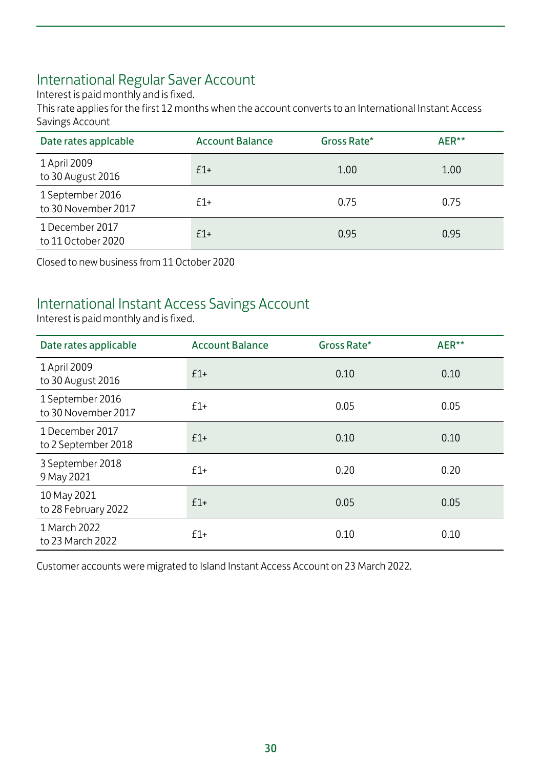### International Regular Saver Account

Interest is paid monthly and is fixed.

This rate applies for the first 12 months when the account converts to an International Instant Access Savings Account

| Date rates applcable                    | <b>Account Balance</b> | Gross Rate* | AER** |
|-----------------------------------------|------------------------|-------------|-------|
| 1 April 2009<br>to 30 August 2016       | $f1+$                  | 1.00        | 1.00  |
| 1 September 2016<br>to 30 November 2017 | $f1+$                  | 0.75        | 0.75  |
| 1 December 2017<br>to 11 October 2020   | $f1+$                  | 0.95        | 0.95  |

Closed to new business from 11 October 2020

#### International Instant Access Savings Account

Interest is paid monthly and is fixed.

| Date rates applicable                   | <b>Account Balance</b> | Gross Rate* | AER** |
|-----------------------------------------|------------------------|-------------|-------|
| 1 April 2009<br>to 30 August 2016       | $£1+$                  | 0.10        | 0.10  |
| 1 September 2016<br>to 30 November 2017 | $£1+$                  | 0.05        | 0.05  |
| 1 December 2017<br>to 2 September 2018  | $£1+$                  | 0.10        | 0.10  |
| 3 September 2018<br>9 May 2021          | $£1+$                  | 0.20        | 0.20  |
| 10 May 2021<br>to 28 February 2022      | $f1+$                  | 0.05        | 0.05  |
| 1 March 2022<br>to 23 March 2022        | $f1+$                  | 0.10        | 0.10  |

Customer accounts were migrated to Island Instant Access Account on 23 March 2022.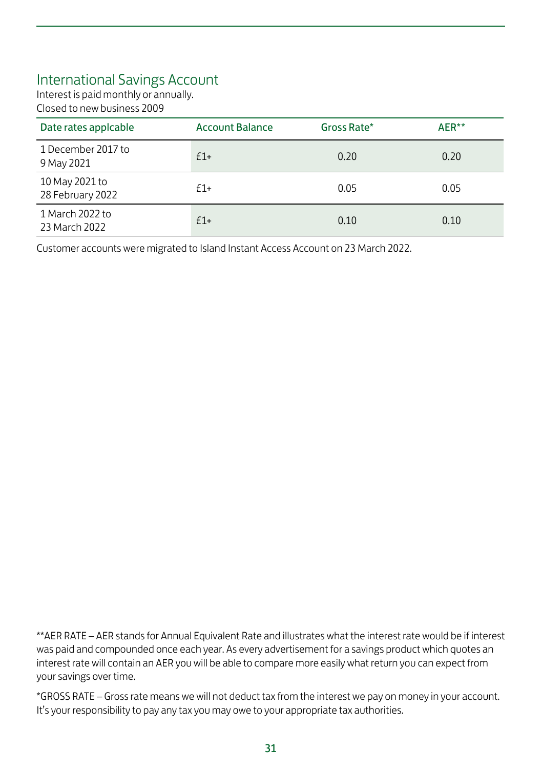#### International Savings Account

Interest is paid monthly or annually. Closed to new business 2009

| Date rates applcable               | <b>Account Balance</b> | Gross Rate* | AER** |
|------------------------------------|------------------------|-------------|-------|
| 1 December 2017 to<br>9 May 2021   | $f1+$                  | 0.20        | 0.20  |
| 10 May 2021 to<br>28 February 2022 | $f1+$                  | 0.05        | 0.05  |
| 1 March 2022 to<br>23 March 2022   | $f1+$                  | 0.10        | 0.10  |

Customer accounts were migrated to Island Instant Access Account on 23 March 2022.

\*\*AER RATE – AER stands for Annual Equivalent Rate and illustrates what the interest rate would be if interest was paid and compounded once each year. As every advertisement for a savings product which quotes an interest rate will contain an AER you will be able to compare more easily what return you can expect from your savings over time.

\*GROSS RATE – Gross rate means we will not deduct tax from the interest we pay on money in your account. It's your responsibility to pay any tax you may owe to your appropriate tax authorities.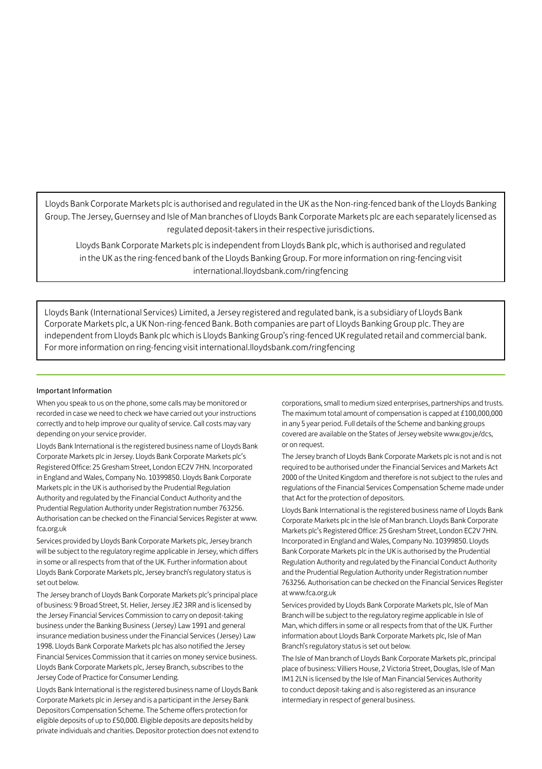Lloyds Bank Corporate Markets plc is authorised and regulated in the UK as the Non-ring-fenced bank of the Lloyds Banking Group. The Jersey, Guernsey and Isle of Man branches of Lloyds Bank Corporate Markets plc are each separately licensed as regulated deposit-takers in their respective jurisdictions.

Lloyds Bank Corporate Markets plc is independent from Lloyds Bank plc, which is authorised and regulated in the UK as the ring-fenced bank of the Lloyds Banking Group. For more information on ring-fencing visit international.lloydsbank.com/ringfencing

Lloyds Bank (International Services) Limited, a Jersey registered and regulated bank, is a subsidiary of Lloyds Bank Corporate Markets plc, a UK Non-ring-fenced Bank. Both companies are part of Lloyds Banking Group plc. They are independent from Lloyds Bank plc which is Lloyds Banking Group's ring-fenced UK regulated retail and commercial bank. For more information on ring-fencing visit international.lloydsbank.com/ringfencing

#### Important Information

When you speak to us on the phone, some calls may be monitored or recorded in case we need to check we have carried out your instructions correctly and to help improve our quality of service. Call costs may vary depending on your service provider.

Lloyds Bank International is the registered business name of Lloyds Bank Corporate Markets plc in Jersey. Lloyds Bank Corporate Markets plc's Registered Office: 25 Gresham Street, London EC2V 7HN. Incorporated in England and Wales, Company No. 10399850. Lloyds Bank Corporate Markets plc in the UK is authorised by the Prudential Regulation Authority and regulated by the Financial Conduct Authority and the Prudential Regulation Authority under Registration number 763256. Authorisation can be checked on the Financial Services Register at www. fca.org.uk

Services provided by Lloyds Bank Corporate Markets plc, Jersey branch will be subject to the regulatory regime applicable in Jersey, which differs in some or all respects from that of the UK. Further information about Lloyds Bank Corporate Markets plc, Jersey branch's regulatory status is set out below.

The Jersey branch of Lloyds Bank Corporate Markets plc's principal place of business: 9 Broad Street, St. Helier, Jersey JE2 3RR and is licensed by the Jersey Financial Services Commission to carry on deposit-taking business under the Banking Business (Jersey) Law 1991 and general insurance mediation business under the Financial Services (Jersey) Law 1998. Lloyds Bank Corporate Markets plc has also notified the Jersey Financial Services Commission that it carries on money service business. Lloyds Bank Corporate Markets plc, Jersey Branch, subscribes to the Jersey Code of Practice for Consumer Lending.

Lloyds Bank International is the registered business name of Lloyds Bank Corporate Markets plc in Jersey and is a participant in the Jersey Bank Depositors Compensation Scheme. The Scheme offers protection for eligible deposits of up to £50,000. Eligible deposits are deposits held by private individuals and charities. Depositor protection does not extend to corporations, small to medium sized enterprises, partnerships and trusts. The maximum total amount of compensation is capped at £100,000,000 in any 5 year period. Full details of the Scheme and banking groups covered are available on the States of Jersey website www.gov.je/dcs, or on request.

The Jersey branch of Lloyds Bank Corporate Markets plc is not and is not required to be authorised under the Financial Services and Markets Act 2000 of the United Kingdom and therefore is not subject to the rules and regulations of the Financial Services Compensation Scheme made under that Act for the protection of depositors.

Lloyds Bank International is the registered business name of Lloyds Bank Corporate Markets plc in the Isle of Man branch. Lloyds Bank Corporate Markets plc's Registered Office: 25 Gresham Street, London EC2V 7HN. Incorporated in England and Wales, Company No. 10399850. Lloyds Bank Corporate Markets plc in the UK is authorised by the Prudential Regulation Authority and regulated by the Financial Conduct Authority and the Prudential Regulation Authority under Registration number 763256. Authorisation can be checked on the Financial Services Register at www.fca.org.uk

Services provided by Lloyds Bank Corporate Markets plc, Isle of Man Branch will be subject to the regulatory regime applicable in Isle of Man, which differs in some or all respects from that of the UK. Further information about Lloyds Bank Corporate Markets plc, Isle of Man Branch's regulatory status is set out below.

The Isle of Man branch of Lloyds Bank Corporate Markets plc, principal place of business: Villiers House, 2 Victoria Street, Douglas, Isle of Man IM1 2LN is licensed by the Isle of Man Financial Services Authority to conduct deposit-taking and is also registered as an insurance intermediary in respect of general business.